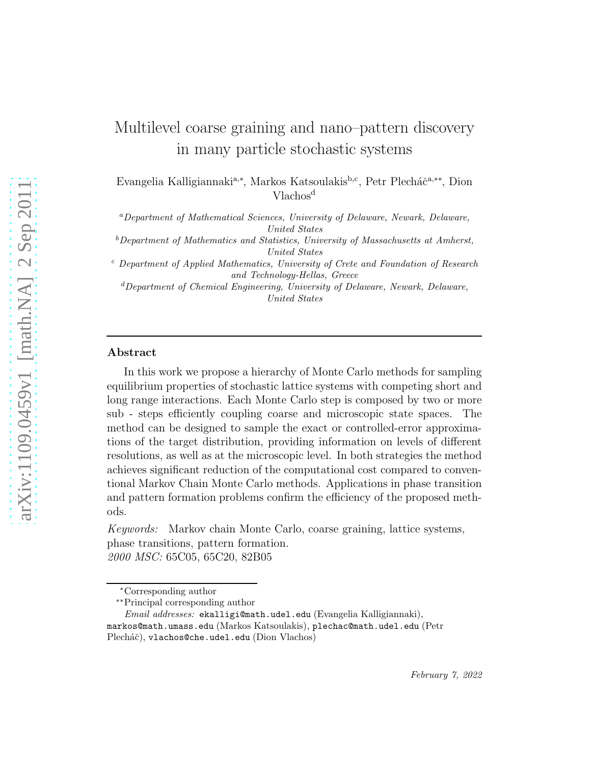# Multilevel coarse graining and nano–pattern discovery in many particle stochastic systems

Evangelia Kalligiannaki<sup>a,∗</sup>, Markos Katsoulakis<sup>b,c</sup>, Petr Plecháč<sup>a,∗∗</sup>, Dion Vlachos<sup>d</sup>

<sup>a</sup>Department of Mathematical Sciences, University of Delaware, Newark, Delaware, United States

 $b$ Department of Mathematics and Statistics, University of Massachusetts at Amherst, United States

 $c$  Department of Applied Mathematics, University of Crete and Foundation of Research and Technology-Hellas, Greece

<sup>d</sup>Department of Chemical Engineering, University of Delaware, Newark, Delaware, United States

#### Abstract

In this work we propose a hierarchy of Monte Carlo methods for sampling equilibrium properties of stochastic lattice systems with competing short and long range interactions. Each Monte Carlo step is composed by two or more sub - steps efficiently coupling coarse and microscopic state spaces. The method can be designed to sample the exact or controlled-error approximations of the target distribution, providing information on levels of different resolutions, as well as at the microscopic level. In both strategies the method achieves significant reduction of the computational cost compared to conventional Markov Chain Monte Carlo methods. Applications in phase transition and pattern formation problems confirm the efficiency of the proposed methods.

Keywords: Markov chain Monte Carlo, coarse graining, lattice systems, phase transitions, pattern formation. 2000 MSC: 65C05, 65C20, 82B05

<sup>∗</sup>Corresponding author

<sup>∗∗</sup>Principal corresponding author

Email addresses: ekalligi@math.udel.edu (Evangelia Kalligiannaki), markos@math.umass.edu (Markos Katsoulakis), plechac@math.udel.edu (Petr Plecháč), vlachos@che.udel.edu (Dion Vlachos)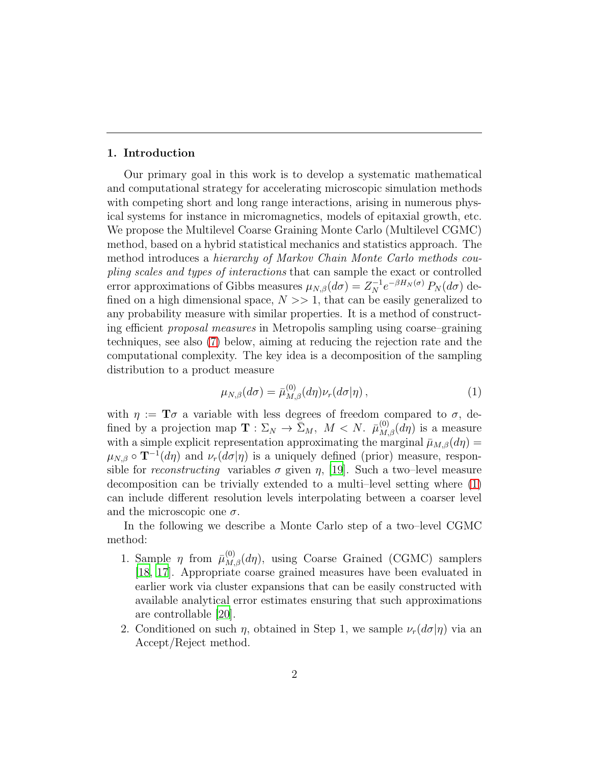#### 1. Introduction

Our primary goal in this work is to develop a systematic mathematical and computational strategy for accelerating microscopic simulation methods with competing short and long range interactions, arising in numerous physical systems for instance in micromagnetics, models of epitaxial growth, etc. We propose the Multilevel Coarse Graining Monte Carlo (Multilevel CGMC) method, based on a hybrid statistical mechanics and statistics approach. The method introduces a hierarchy of Markov Chain Monte Carlo methods coupling scales and types of interactions that can sample the exact or controlled error approximations of Gibbs measures  $\mu_{N,\beta}(d\sigma) = Z_N^{-1} e^{-\beta H_N(\sigma)} P_N(d\sigma)$  defined on a high dimensional space,  $N \gg 1$ , that can be easily generalized to any probability measure with similar properties. It is a method of constructing efficient proposal measures in Metropolis sampling using coarse–graining techniques, see also [\(7\)](#page-6-0) below, aiming at reducing the rejection rate and the computational complexity. The key idea is a decomposition of the sampling distribution to a product measure

<span id="page-1-0"></span>
$$
\mu_{N,\beta}(d\sigma) = \bar{\mu}_{M,\beta}^{(0)}(d\eta)\nu_r(d\sigma|\eta)\,,\tag{1}
$$

with  $\eta := \mathbf{T}\sigma$  a variable with less degrees of freedom compared to  $\sigma$ , defined by a projection map  $\mathbf{T}: \Sigma_N \to \bar{\Sigma}_M$ ,  $M < N$ .  $\bar{\mu}_{M,\beta}^{(0)}(d\eta)$  is a measure with a simple explicit representation approximating the marginal  $\bar{\mu}_{M,\beta}(d\eta) =$  $\mu_{N,\beta} \circ \mathbf{T}^{-1}(d\eta)$  and  $\nu_r(d\sigma|\eta)$  is a uniquely defined (prior) measure, responsible for reconstructing variables  $\sigma$  given  $\eta$ , [\[19\]](#page-35-0). Such a two-level measure decomposition can be trivially extended to a multi–level setting where [\(1\)](#page-1-0) can include different resolution levels interpolating between a coarser level and the microscopic one  $\sigma$ .

In the following we describe a Monte Carlo step of a two–level CGMC method:

- 1. Sample  $\eta$  from  $\bar{\mu}_{M,\beta}^{(0)}(d\eta)$ , using Coarse Grained (CGMC) samplers [\[18](#page-34-0), [17](#page-34-1)]. Appropriate coarse grained measures have been evaluated in earlier work via cluster expansions that can be easily constructed with available analytical error estimates ensuring that such approximations are controllable [\[20\]](#page-35-1).
- 2. Conditioned on such  $\eta$ , obtained in Step 1, we sample  $\nu_r(d\sigma|\eta)$  via an Accept/Reject method.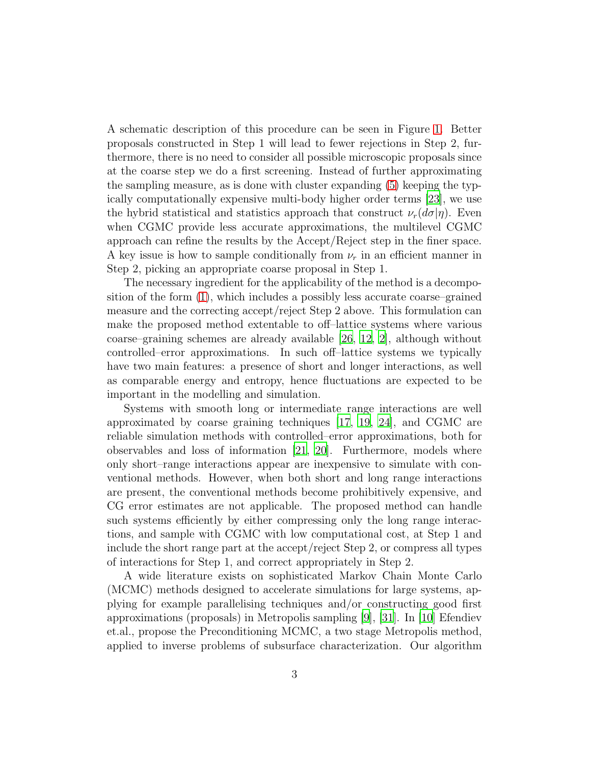A schematic description of this procedure can be seen in Figure [1.](#page-9-0) Better proposals constructed in Step 1 will lead to fewer rejections in Step 2, furthermore, there is no need to consider all possible microscopic proposals since at the coarse step we do a first screening. Instead of further approximating the sampling measure, as is done with cluster expanding [\(5\)](#page-5-0) keeping the typically computationally expensive multi-body higher order terms [\[23\]](#page-35-2), we use the hybrid statistical and statistics approach that construct  $\nu_r(d\sigma|\eta)$ . Even when CGMC provide less accurate approximations, the multilevel CGMC approach can refine the results by the Accept/Reject step in the finer space. A key issue is how to sample conditionally from  $\nu_r$  in an efficient manner in Step 2, picking an appropriate coarse proposal in Step 1.

The necessary ingredient for the applicability of the method is a decomposition of the form [\(1\)](#page-1-0), which includes a possibly less accurate coarse–grained measure and the correcting accept/reject Step 2 above. This formulation can make the proposed method extentable to off–lattice systems where various coarse–graining schemes are already available [\[26,](#page-35-3) [12](#page-34-2), [2\]](#page-33-0), although without controlled–error approximations. In such off–lattice systems we typically have two main features: a presence of short and longer interactions, as well as comparable energy and entropy, hence fluctuations are expected to be important in the modelling and simulation.

Systems with smooth long or intermediate range interactions are well approximated by coarse graining techniques [\[17,](#page-34-1) [19,](#page-35-0) [24](#page-35-4)], and CGMC are reliable simulation methods with controlled–error approximations, both for observables and loss of information [\[21,](#page-35-5) [20](#page-35-1)]. Furthermore, models where only short–range interactions appear are inexpensive to simulate with conventional methods. However, when both short and long range interactions are present, the conventional methods become prohibitively expensive, and CG error estimates are not applicable. The proposed method can handle such systems efficiently by either compressing only the long range interactions, and sample with CGMC with low computational cost, at Step 1 and include the short range part at the accept/reject Step 2, or compress all types of interactions for Step 1, and correct appropriately in Step 2.

A wide literature exists on sophisticated Markov Chain Monte Carlo (MCMC) methods designed to accelerate simulations for large systems, applying for example parallelising techniques and/or constructing good first approximations (proposals) in Metropolis sampling [\[9\]](#page-34-3), [\[31\]](#page-36-0). In [\[10](#page-34-4)] Efendiev et.al., propose the Preconditioning MCMC, a two stage Metropolis method, applied to inverse problems of subsurface characterization. Our algorithm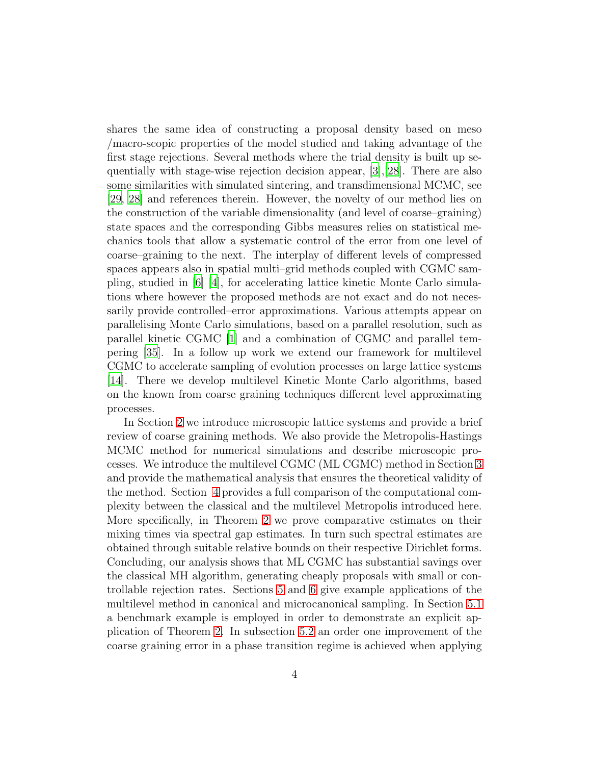shares the same idea of constructing a proposal density based on meso /macro-scopic properties of the model studied and taking advantage of the first stage rejections. Several methods where the trial density is built up sequentially with stage-wise rejection decision appear, [\[3](#page-33-1)],[\[28\]](#page-35-6). There are also some similarities with simulated sintering, and transdimensional MCMC, see [\[29,](#page-35-7) [28](#page-35-6)] and references therein. However, the novelty of our method lies on the construction of the variable dimensionality (and level of coarse–graining) state spaces and the corresponding Gibbs measures relies on statistical mechanics tools that allow a systematic control of the error from one level of coarse–graining to the next. The interplay of different levels of compressed spaces appears also in spatial multi–grid methods coupled with CGMC sampling, studied in [\[6](#page-33-2)] [\[4\]](#page-33-3), for accelerating lattice kinetic Monte Carlo simulations where however the proposed methods are not exact and do not necessarily provide controlled–error approximations. Various attempts appear on parallelising Monte Carlo simulations, based on a parallel resolution, such as parallel kinetic CGMC [\[1](#page-33-4)] and a combination of CGMC and parallel tempering [\[35](#page-36-1)]. In a follow up work we extend our framework for multilevel CGMC to accelerate sampling of evolution processes on large lattice systems [\[14\]](#page-34-5). There we develop multilevel Kinetic Monte Carlo algorithms, based on the known from coarse graining techniques different level approximating processes.

In Section [2](#page-4-0) we introduce microscopic lattice systems and provide a brief review of coarse graining methods. We also provide the Metropolis-Hastings MCMC method for numerical simulations and describe microscopic processes. We introduce the multilevel CGMC (ML CGMC) method in Section [3](#page-8-0) and provide the mathematical analysis that ensures the theoretical validity of the method. Section [4](#page-14-0) provides a full comparison of the computational complexity between the classical and the multilevel Metropolis introduced here. More specifically, in Theorem [2](#page-16-0) we prove comparative estimates on their mixing times via spectral gap estimates. In turn such spectral estimates are obtained through suitable relative bounds on their respective Dirichlet forms. Concluding, our analysis shows that ML CGMC has substantial savings over the classical MH algorithm, generating cheaply proposals with small or controllable rejection rates. Sections [5](#page-20-0) and [6](#page-24-0) give example applications of the multilevel method in canonical and microcanonical sampling. In Section [5.1](#page-20-1) a benchmark example is employed in order to demonstrate an explicit application of Theorem [2.](#page-16-0) In subsection [5.2](#page-21-0) an order one improvement of the coarse graining error in a phase transition regime is achieved when applying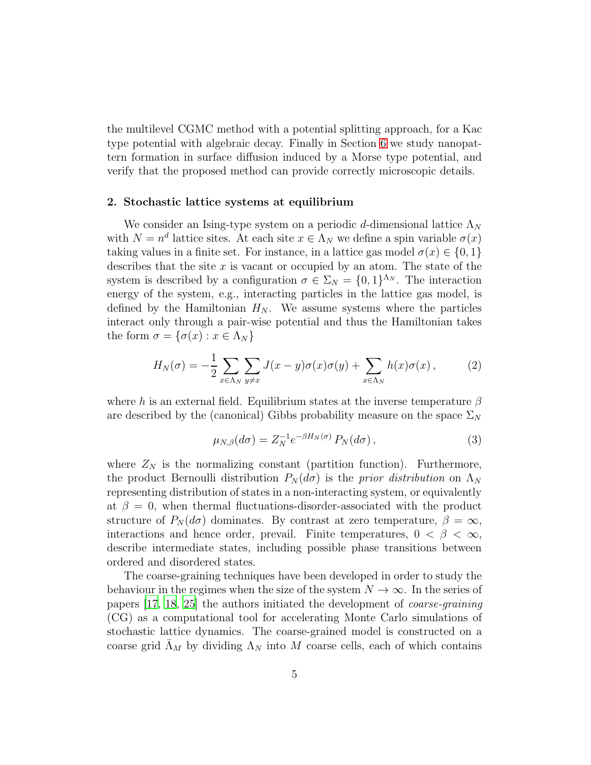the multilevel CGMC method with a potential splitting approach, for a Kac type potential with algebraic decay. Finally in Section [6](#page-24-0) we study nanopattern formation in surface diffusion induced by a Morse type potential, and verify that the proposed method can provide correctly microscopic details.

#### <span id="page-4-0"></span>2. Stochastic lattice systems at equilibrium

We consider an Ising-type system on a periodic d-dimensional lattice  $\Lambda_N$ with  $N = n^d$  lattice sites. At each site  $x \in \Lambda_N$  we define a spin variable  $\sigma(x)$ taking values in a finite set. For instance, in a lattice gas model  $\sigma(x) \in \{0, 1\}$ describes that the site  $x$  is vacant or occupied by an atom. The state of the system is described by a configuration  $\sigma \in \Sigma_N = \{0,1\}^{\Lambda_N}$ . The interaction energy of the system, e.g., interacting particles in the lattice gas model, is defined by the Hamiltonian  $H_N$ . We assume systems where the particles interact only through a pair-wise potential and thus the Hamiltonian takes the form  $\sigma = {\sigma(x) : x \in \Lambda_N}$ 

<span id="page-4-1"></span>
$$
H_N(\sigma) = -\frac{1}{2} \sum_{x \in \Lambda_N} \sum_{y \neq x} J(x - y) \sigma(x) \sigma(y) + \sum_{x \in \Lambda_N} h(x) \sigma(x) , \qquad (2)
$$

where h is an external field. Equilibrium states at the inverse temperature  $\beta$ are described by the (canonical) Gibbs probability measure on the space  $\Sigma_N$ 

$$
\mu_{N,\beta}(d\sigma) = Z_N^{-1} e^{-\beta H_N(\sigma)} P_N(d\sigma), \qquad (3)
$$

where  $Z_N$  is the normalizing constant (partition function). Furthermore, the product Bernoulli distribution  $P_N(d\sigma)$  is the prior distribution on  $\Lambda_N$ representing distribution of states in a non-interacting system, or equivalently at  $\beta = 0$ , when thermal fluctuations-disorder-associated with the product structure of  $P_N(d\sigma)$  dominates. By contrast at zero temperature,  $\beta = \infty$ , interactions and hence order, prevail. Finite temperatures,  $0 < \beta < \infty$ , describe intermediate states, including possible phase transitions between ordered and disordered states.

The coarse-graining techniques have been developed in order to study the behaviour in the regimes when the size of the system  $N \to \infty$ . In the series of papers [\[17,](#page-34-1) [18,](#page-34-0) [25](#page-35-8)] the authors initiated the development of coarse-graining (CG) as a computational tool for accelerating Monte Carlo simulations of stochastic lattice dynamics. The coarse-grained model is constructed on a coarse grid  $\bar{\Lambda}_M$  by dividing  $\Lambda_N$  into M coarse cells, each of which contains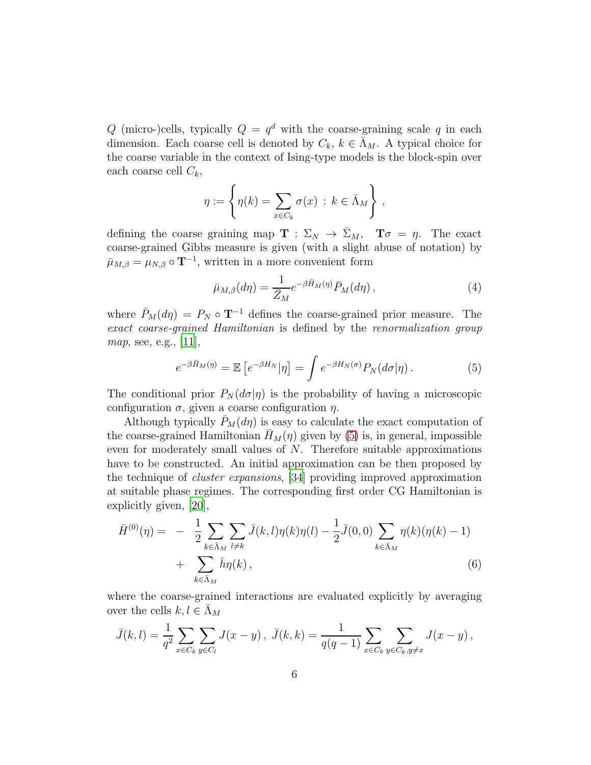Q (micro-)cells, typically  $Q = q^d$  with the coarse-graining scale q in each dimension. Each coarse cell is denoted by  $C_k$ ,  $k \in \bar{\Lambda}_M$ . A typical choice for the coarse variable in the context of Ising-type models is the block-spin over each coarse cell  $C_k$ ,

$$
\eta := \left\{ \eta(k) = \sum_{x \in C_k} \sigma(x) \, : \, k \in \bar{\Lambda}_M \right\} \, ,
$$

defining the coarse graining map  $\mathbf{T} : \Sigma_N \to \bar{\Sigma}_M$ ,  $\mathbf{T}\sigma = \eta$ . The exact coarse-grained Gibbs measure is given (with a slight abuse of notation) by  $\bar{\mu}_{M,\beta} = \mu_{N,\beta} \circ \mathbf{T}^{-1}$ , written in a more convenient form

$$
\bar{\mu}_{M,\beta}(d\eta) = \frac{1}{\bar{Z}_M} e^{-\beta \bar{H}_M(\eta)} \bar{P}_M(d\eta) , \qquad (4)
$$

where  $\bar{P}_M(d\eta) = P_N \circ \mathbf{T}^{-1}$  defines the coarse-grained prior measure. The exact coarse-grained Hamiltonian is defined by the renormalization group map, see, e.g., [\[11](#page-34-6)],

<span id="page-5-0"></span>
$$
e^{-\beta \bar{H}_M(\eta)} = \mathbb{E}\left[e^{-\beta H_N}|\eta\right] = \int e^{-\beta H_N(\sigma)} P_N(d\sigma|\eta) \,. \tag{5}
$$

The conditional prior  $P_N(d\sigma|\eta)$  is the probability of having a microscopic configuration  $\sigma$ , given a coarse configuration  $\eta$ .

Although typically  $P_M(d\eta)$  is easy to calculate the exact computation of the coarse-grained Hamiltonian  $H_M(\eta)$  given by [\(5\)](#page-5-0) is, in general, impossible even for moderately small values of N. Therefore suitable approximations have to be constructed. An initial approximation can be then proposed by the technique of cluster expansions, [\[34\]](#page-36-2) providing improved approximation at suitable phase regimes. The corresponding first order CG Hamiltonian is explicitly given, [\[20](#page-35-1)],

<span id="page-5-1"></span>
$$
\bar{H}^{(0)}(\eta) = -\frac{1}{2} \sum_{k \in \bar{\Lambda}_M} \sum_{l \neq k} \bar{J}(k, l) \eta(k) \eta(l) - \frac{1}{2} \bar{J}(0, 0) \sum_{k \in \bar{\Lambda}_M} \eta(k) (\eta(k) - 1) + \sum_{k \in \bar{\Lambda}_M} \bar{h} \eta(k), \qquad (6)
$$

where the coarse-grained interactions are evaluated explicitly by averaging over the cells  $k, l \in \Lambda_M$ 

$$
\bar{J}(k,l) = \frac{1}{q^2} \sum_{x \in C_k} \sum_{y \in C_l} J(x-y), \ \bar{J}(k,k) = \frac{1}{q(q-1)} \sum_{x \in C_k} \sum_{y \in C_k, y \neq x} J(x-y),
$$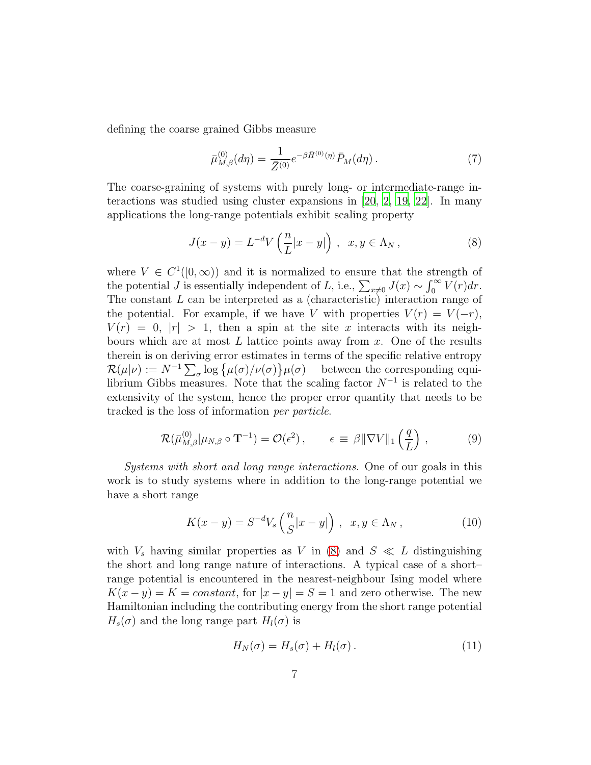defining the coarse grained Gibbs measure

<span id="page-6-0"></span>
$$
\bar{\mu}_{M,\beta}^{(0)}(d\eta) = \frac{1}{\bar{Z}^{(0)}} e^{-\beta \bar{H}^{(0)}(\eta)} \bar{P}_M(d\eta) . \tag{7}
$$

The coarse-graining of systems with purely long- or intermediate-range interactions was studied using cluster expansions in [\[20](#page-35-1), [2](#page-33-0), [19,](#page-35-0) [22](#page-35-9)]. In many applications the long-range potentials exhibit scaling property

<span id="page-6-1"></span>
$$
J(x - y) = L^{-d} V\left(\frac{n}{L}|x - y|\right), \quad x, y \in \Lambda_N,
$$
\n(8)

where  $V \in C^1([0,\infty))$  and it is normalized to ensure that the strength of the potential J is essentially independent of L, i.e.,  $\sum_{x\neq 0} J(x) \sim \int_0^\infty V(r) dr$ . The constant L can be interpreted as a (characteristic) interaction range of the potential. For example, if we have V with properties  $V(r) = V(-r)$ ,  $V(r) = 0, |r| > 1$ , then a spin at the site x interacts with its neighbours which are at most  $L$  lattice points away from  $x$ . One of the results therein is on deriving error estimates in terms of the specific relative entropy  $\mathcal{R}(\mu|\nu) := N^{-1} \sum_{\sigma} \log \{ \mu(\sigma) / \nu(\sigma) \} \mu(\sigma)$  between the corresponding equilibrium Gibbs measures. Note that the scaling factor  $N^{-1}$  is related to the extensivity of the system, hence the proper error quantity that needs to be tracked is the loss of information per particle.

$$
\mathcal{R}(\bar{\mu}_{M,\beta}^{(0)} | \mu_{N,\beta} \circ \mathbf{T}^{-1}) = \mathcal{O}(\epsilon^2) , \qquad \epsilon \equiv \beta ||\nabla V||_1 \left(\frac{q}{L}\right) , \tag{9}
$$

Systems with short and long range interactions. One of our goals in this work is to study systems where in addition to the long-range potential we have a short range

$$
K(x - y) = S^{-d}V_s\left(\frac{n}{S}|x - y|\right), \quad x, y \in \Lambda_N,
$$
\n(10)

with  $V_s$  having similar properties as V in [\(8\)](#page-6-1) and  $S \ll L$  distinguishing the short and long range nature of interactions. A typical case of a short– range potential is encountered in the nearest-neighbour Ising model where  $K(x - y) = K = constant$ , for  $|x - y| = S = 1$  and zero otherwise. The new Hamiltonian including the contributing energy from the short range potential  $H_s(\sigma)$  and the long range part  $H_l(\sigma)$  is

<span id="page-6-2"></span>
$$
H_N(\sigma) = H_s(\sigma) + H_l(\sigma). \tag{11}
$$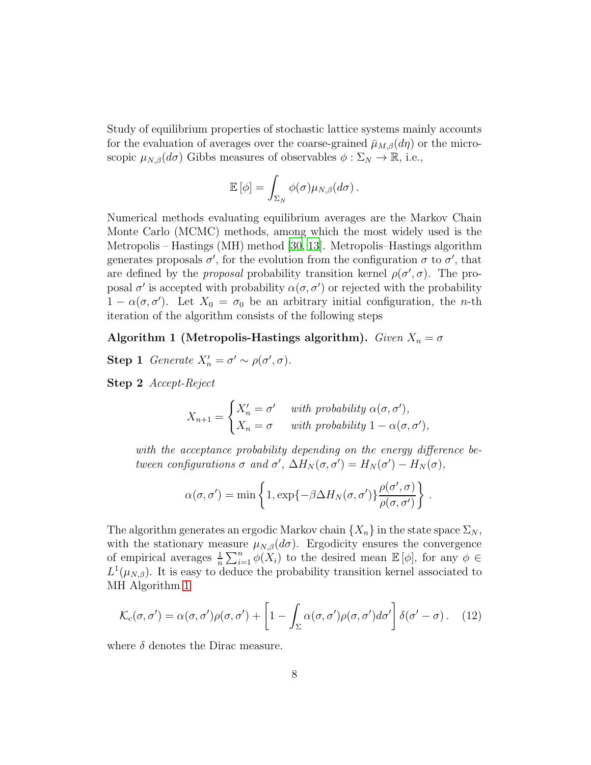Study of equilibrium properties of stochastic lattice systems mainly accounts for the evaluation of averages over the coarse-grained  $\bar{\mu}_{M,\beta}(d\eta)$  or the microscopic  $\mu_{N,\beta}(d\sigma)$  Gibbs measures of observables  $\phi : \Sigma_N \to \mathbb{R}$ , i.e.,

<span id="page-7-0"></span>
$$
\mathbb{E}[\phi] = \int_{\Sigma_N} \phi(\sigma) \mu_{N,\beta}(d\sigma).
$$

Numerical methods evaluating equilibrium averages are the Markov Chain Monte Carlo (MCMC) methods, among which the most widely used is the Metropolis – Hastings (MH) method [\[30,](#page-36-3) [13\]](#page-34-7). Metropolis–Hastings algorithm generates proposals  $\sigma'$ , for the evolution from the configuration  $\sigma$  to  $\sigma'$ , that are defined by the *proposal* probability transition kernel  $\rho(\sigma', \sigma)$ . The proposal  $\sigma'$  is accepted with probability  $\alpha(\sigma, \sigma')$  or rejected with the probability  $1 - \alpha(\sigma, \sigma')$ . Let  $X_0 = \sigma_0$  be an arbitrary initial configuration, the *n*-th iteration of the algorithm consists of the following steps

# Algorithm 1 (Metropolis-Hastings algorithm). Given  $X_n = \sigma$

**Step 1** Generate  $X'_n = \sigma' \sim \rho(\sigma', \sigma)$ .

Step 2 Accept-Reject

$$
X_{n+1} = \begin{cases} X'_n = \sigma' & \text{with probability } \alpha(\sigma, \sigma'), \\ X_n = \sigma & \text{with probability } 1 - \alpha(\sigma, \sigma'), \end{cases}
$$

with the acceptance probability depending on the energy difference between configurations  $\sigma$  and  $\sigma'$ ,  $\Delta H_N(\sigma, \sigma') = H_N(\sigma') - H_N(\sigma)$ ,

$$
\alpha(\sigma,\sigma') = \min\left\{1,\exp\{-\beta\Delta H_N(\sigma,\sigma')\}\frac{\rho(\sigma',\sigma)}{\rho(\sigma,\sigma')}\right\}.
$$

The algorithm generates an ergodic Markov chain  $\{X_n\}$  in the state space  $\Sigma_N$ , with the stationary measure  $\mu_{N,\beta}(d\sigma)$ . Ergodicity ensures the convergence of empirical averages  $\frac{1}{n} \sum_{i=1}^{n} \phi(X_i)$  to the desired mean  $\mathbb{E}[\phi]$ , for any  $\phi \in$  $L^1(\mu_{N,\beta})$ . It is easy to deduce the probability transition kernel associated to MH Algorithm [1](#page-7-0)

<span id="page-7-1"></span>
$$
\mathcal{K}_c(\sigma, \sigma') = \alpha(\sigma, \sigma')\rho(\sigma, \sigma') + \left[1 - \int_{\Sigma} \alpha(\sigma, \sigma')\rho(\sigma, \sigma')d\sigma'\right]\delta(\sigma' - \sigma).
$$
 (12)

where  $\delta$  denotes the Dirac measure.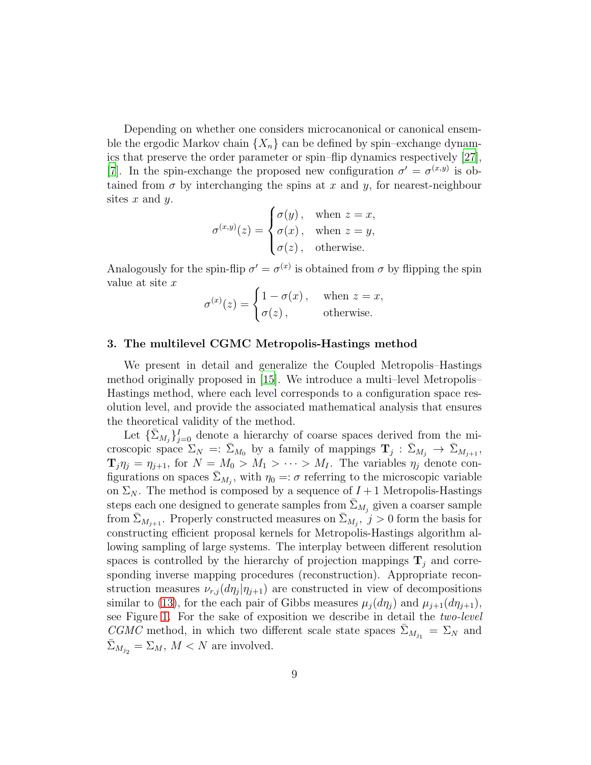Depending on whether one considers microcanonical or canonical ensemble the ergodic Markov chain  $\{X_n\}$  can be defined by spin–exchange dynamics that preserve the order parameter or spin–flip dynamics respectively [\[27\]](#page-35-10), [\[7\]](#page-34-8). In the spin-exchange the proposed new configuration  $\sigma' = \sigma^{(x,y)}$  is obtained from  $\sigma$  by interchanging the spins at x and y, for nearest-neighbour sites  $x$  and  $y$ .

$$
\sigma^{(x,y)}(z) = \begin{cases} \sigma(y), & \text{when } z = x, \\ \sigma(x), & \text{when } z = y, \\ \sigma(z), & \text{otherwise.} \end{cases}
$$

Analogously for the spin-flip  $\sigma' = \sigma^{(x)}$  is obtained from  $\sigma$  by flipping the spin value at site x

$$
\sigma^{(x)}(z) = \begin{cases} 1 - \sigma(x), & \text{when } z = x, \\ \sigma(z), & \text{otherwise.} \end{cases}
$$

#### <span id="page-8-0"></span>3. The multilevel CGMC Metropolis-Hastings method

We present in detail and generalize the Coupled Metropolis–Hastings method originally proposed in [\[15](#page-34-9)]. We introduce a multi–level Metropolis– Hastings method, where each level corresponds to a configuration space resolution level, and provide the associated mathematical analysis that ensures the theoretical validity of the method.

Let  $\{\bar{\Sigma}_{M_j}\}_{j=0}^I$  denote a hierarchy of coarse spaces derived from the microscopic space  $\Sigma_N =: \bar{\Sigma}_{M_0}$  by a family of mappings  $\mathbf{T}_j : \bar{\Sigma}_{M_j} \to \bar{\Sigma}_{M_{j+1}}$ ,  $\mathbf{T}_j \eta_j = \eta_{j+1}$ , for  $N = M_0 > M_1 > \cdots > M_I$ . The variables  $\eta_j$  denote configurations on spaces  $\bar{\Sigma}_{M_j}$ , with  $\eta_0 =: \sigma$  referring to the microscopic variable on  $\Sigma_N$ . The method is composed by a sequence of  $I+1$  Metropolis-Hastings steps each one designed to generate samples from  $\bar{\Sigma}_{M_j}$  given a coarser sample from  $\bar{\Sigma}_{M_{j+1}}$ . Properly constructed measures on  $\bar{\Sigma}_{M_j}$ ,  $j > 0$  form the basis for constructing efficient proposal kernels for Metropolis-Hastings algorithm allowing sampling of large systems. The interplay between different resolution spaces is controlled by the hierarchy of projection mappings  $\mathbf{T}_j$  and corresponding inverse mapping procedures (reconstruction). Appropriate reconstruction measures  $\nu_{r,j}(d\eta_j|\eta_{j+1})$  are constructed in view of decompositions similar to [\(13\)](#page-9-1), for the each pair of Gibbs measures  $\mu_i(d\eta_i)$  and  $\mu_{i+1}(d\eta_{i+1}),$ see Figure [1.](#page-9-0) For the sake of exposition we describe in detail the two-level CGMC method, in which two different scale state spaces  $\bar{\Sigma}_{M_{j_1}} = \Sigma_N$  and  $\bar{\Sigma}_{M_{j_2}} = \Sigma_M$ ,  $M < N$  are involved.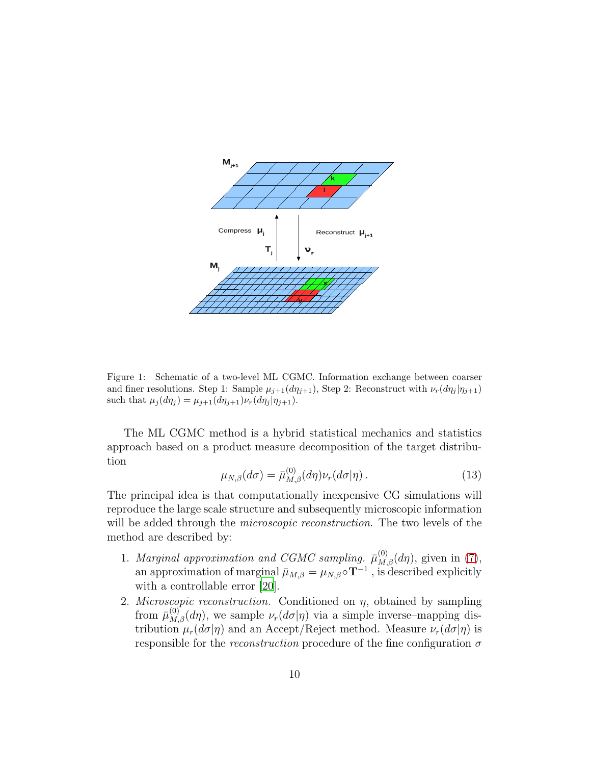

<span id="page-9-0"></span>Figure 1: Schematic of a two-level ML CGMC. Information exchange between coarser and finer resolutions. Step 1: Sample  $\mu_{j+1}(d\eta_{j+1})$ , Step 2: Reconstruct with  $\nu_r(d\eta_j|\eta_{j+1})$ such that  $\mu_j(d\eta_j) = \mu_{j+1}(d\eta_{j+1})\nu_r(d\eta_j|\eta_{j+1}).$ 

The ML CGMC method is a hybrid statistical mechanics and statistics approach based on a product measure decomposition of the target distribution

<span id="page-9-1"></span>
$$
\mu_{N,\beta}(d\sigma) = \bar{\mu}_{M,\beta}^{(0)}(d\eta)\nu_r(d\sigma|\eta). \tag{13}
$$

The principal idea is that computationally inexpensive CG simulations will reproduce the large scale structure and subsequently microscopic information will be added through the *microscopic reconstruction*. The two levels of the method are described by:

- 1. Marginal approximation and CGMC sampling.  $\bar{\mu}_{M,\beta}^{(0)}(d\eta)$ , given in [\(7\)](#page-6-0), an approximation of marginal  $\bar{\mu}_{M,\beta} = \mu_{N,\beta} \circ \mathbf{T}^{-1}$ , is described explicitly with a controllable error [\[20\]](#page-35-1).
- 2. *Microscopic reconstruction*. Conditioned on  $\eta$ , obtained by sampling from  $\bar{\mu}_{M,\beta}^{(0)}(d\eta)$ , we sample  $\nu_r(d\sigma|\eta)$  via a simple inverse-mapping distribution  $\mu_r(d\sigma|\eta)$  and an Accept/Reject method. Measure  $\nu_r(d\sigma|\eta)$  is responsible for the *reconstruction* procedure of the fine configuration  $\sigma$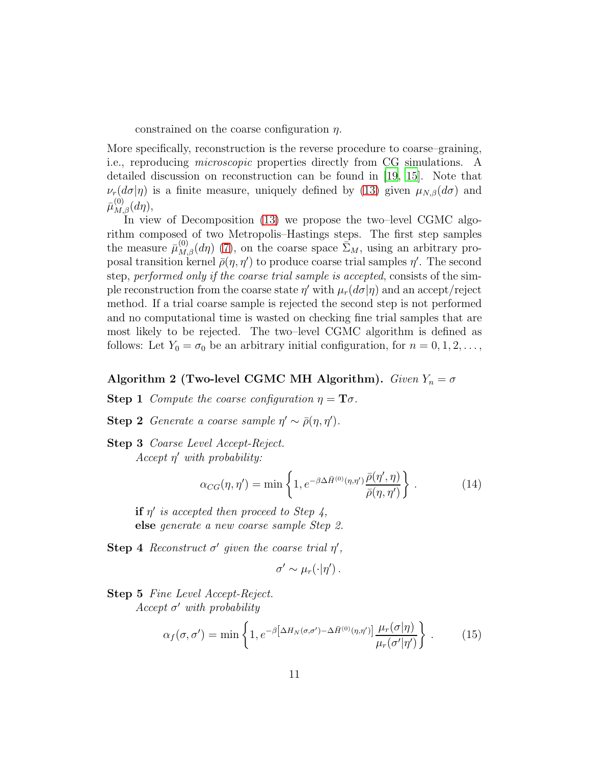constrained on the coarse configuration  $\eta$ .

More specifically, reconstruction is the reverse procedure to coarse–graining, i.e., reproducing microscopic properties directly from CG simulations. A detailed discussion on reconstruction can be found in [\[19](#page-35-0), [15\]](#page-34-9). Note that  $\nu_r(d\sigma|\eta)$  is a finite measure, uniquely defined by [\(13\)](#page-9-1) given  $\mu_{N,\beta}(d\sigma)$  and  $\bar\mu_{M,\beta}^{(0)} (d\eta),$ 

In view of Decomposition [\(13\)](#page-9-1) we propose the two–level CGMC algorithm composed of two Metropolis–Hastings steps. The first step samples the measure  $\bar{\mu}_{M,\beta}^{(0)}(d\eta)$  [\(7\)](#page-6-0), on the coarse space  $\bar{\Sigma}_M$ , using an arbitrary proposal transition kernel  $\bar{\rho}(\eta, \eta')$  to produce coarse trial samples  $\eta'$ . The second step, performed only if the coarse trial sample is accepted, consists of the simple reconstruction from the coarse state  $\eta'$  with  $\mu_r(d\sigma|\eta)$  and an accept/reject method. If a trial coarse sample is rejected the second step is not performed and no computational time is wasted on checking fine trial samples that are most likely to be rejected. The two–level CGMC algorithm is defined as follows: Let  $Y_0 = \sigma_0$  be an arbitrary initial configuration, for  $n = 0, 1, 2, \ldots$ ,

## <span id="page-10-0"></span>Algorithm 2 (Two-level CGMC MH Algorithm). Given  $Y_n = \sigma$

**Step 1** Compute the coarse configuration  $\eta = \mathbf{T}\sigma$ .

- Step 2 Generate a coarse sample  $\eta' \sim \bar{\rho}(\eta, \eta')$ .
- Step 3 Coarse Level Accept-Reject.  $Accept \eta'$  with probability:

$$
\alpha_{CG}(\eta, \eta') = \min \left\{ 1, e^{-\beta \Delta \bar{H}^{(0)}(\eta, \eta')} \frac{\bar{\rho}(\eta', \eta)}{\bar{\rho}(\eta, \eta')} \right\}.
$$
 (14)

if  $\eta'$  is accepted then proceed to Step 4, else generate a new coarse sample Step 2.

Step 4 Reconstruct  $\sigma'$  given the coarse trial  $\eta'$ ,

$$
\sigma' \sim \mu_r(\cdot|\eta').
$$

Step 5 Fine Level Accept-Reject.  $Accept \space \sigma'$  with probability

$$
\alpha_f(\sigma, \sigma') = \min \left\{ 1, e^{-\beta \left[ \Delta H_N(\sigma, \sigma') - \Delta \bar{H}^{(0)}(\eta, \eta') \right]} \frac{\mu_r(\sigma | \eta)}{\mu_r(\sigma' | \eta')} \right\} . \tag{15}
$$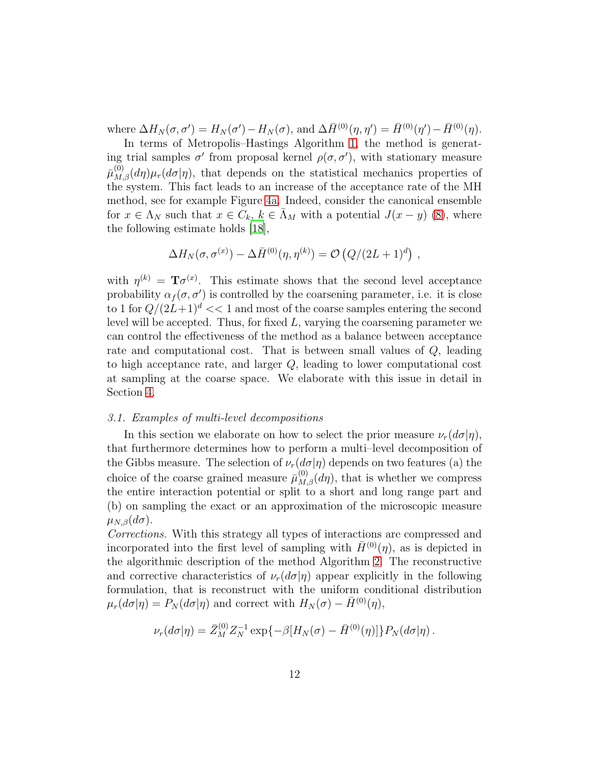where  $\Delta H_N(\sigma, \sigma') = H_N(\sigma') - H_N(\sigma)$ , and  $\Delta \bar{H}^{(0)}(\eta, \eta') = \bar{H}^{(0)}(\eta') - \bar{H}^{(0)}(\eta)$ .

In terms of Metropolis–Hastings Algorithm [1,](#page-7-0) the method is generating trial samples  $\sigma'$  from proposal kernel  $\rho(\sigma, \sigma')$ , with stationary measure  $\bar{\mu}_{M,\beta}(d\eta)\mu_r(d\sigma|\eta)$ , that depends on the statistical mechanics properties of the system. This fact leads to an increase of the acceptance rate of the MH method, see for example Figure [4a.](#page-24-1) Indeed, consider the canonical ensemble for  $x \in \Lambda_N$  such that  $x \in C_k$ ,  $k \in \bar{\Lambda}_M$  with a potential  $J(x - y)$  [\(8\)](#page-6-1), where the following estimate holds [\[18\]](#page-34-0),

$$
\Delta H_N(\sigma, \sigma^{(x)}) - \Delta \bar{H}^{(0)}(\eta, \eta^{(k)}) = \mathcal{O}\left(Q/(2L+1)^d\right) ,
$$

with  $\eta^{(k)} = \mathbf{T}\sigma^{(x)}$ . This estimate shows that the second level acceptance probability  $\alpha_f(\sigma, \sigma')$  is controlled by the coarsening parameter, i.e. it is close to 1 for  $Q/(2L+1)^d \ll 1$  and most of the coarse samples entering the second level will be accepted. Thus, for fixed  $L$ , varying the coarsening parameter we can control the effectiveness of the method as a balance between acceptance rate and computational cost. That is between small values of Q, leading to high acceptance rate, and larger Q, leading to lower computational cost at sampling at the coarse space. We elaborate with this issue in detail in Section [4.](#page-14-0)

#### <span id="page-11-0"></span>3.1. Examples of multi-level decompositions

In this section we elaborate on how to select the prior measure  $\nu_r(d\sigma|\eta)$ , that furthermore determines how to perform a multi–level decomposition of the Gibbs measure. The selection of  $\nu_r(d\sigma|\eta)$  depends on two features (a) the choice of the coarse grained measure  $\bar{\mu}_{M,\beta}^{(0)}(d\eta)$ , that is whether we compress the entire interaction potential or split to a short and long range part and (b) on sampling the exact or an approximation of the microscopic measure  $\mu_{N,\beta}(d\sigma)$ .

Corrections. With this strategy all types of interactions are compressed and incorporated into the first level of sampling with  $\bar{H}^{(0)}(\eta)$ , as is depicted in the algorithmic description of the method Algorithm [2.](#page-10-0) The reconstructive and corrective characteristics of  $\nu_r(d\sigma|\eta)$  appear explicitly in the following formulation, that is reconstruct with the uniform conditional distribution  $\mu_r(d\sigma|\eta) = P_N(d\sigma|\eta)$  and correct with  $H_N(\sigma) - \bar{H}^{(0)}(\eta)$ ,

$$
\nu_r(d\sigma|\eta) = \bar{Z}_M^{(0)} Z_N^{-1} \exp\{-\beta[H_N(\sigma) - \bar{H}^{(0)}(\eta)]\} P_N(d\sigma|\eta).
$$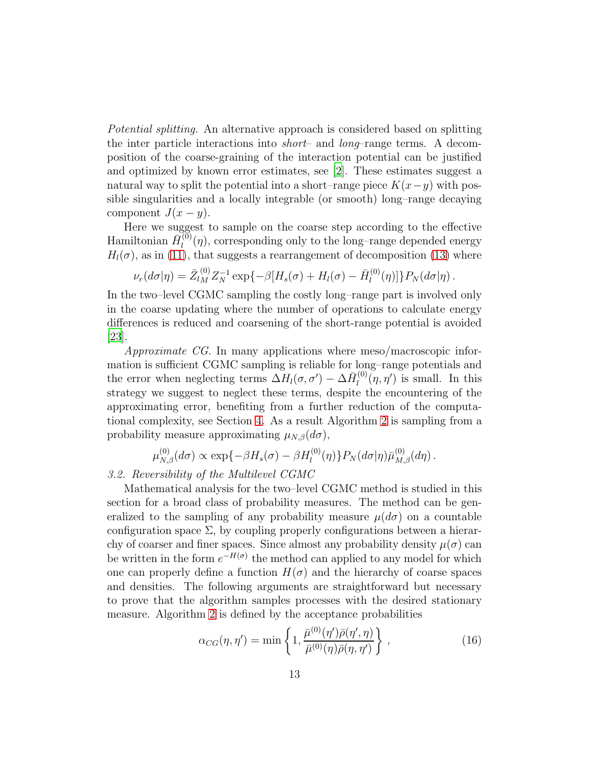Potential splitting. An alternative approach is considered based on splitting the inter particle interactions into short– and long–range terms. A decomposition of the coarse-graining of the interaction potential can be justified and optimized by known error estimates, see [\[2\]](#page-33-0). These estimates suggest a natural way to split the potential into a short–range piece  $K(x-y)$  with possible singularities and a locally integrable (or smooth) long–range decaying component  $J(x - y)$ .

Here we suggest to sample on the coarse step according to the effective Hamiltonian  $\bar{H}_l^{(0)}$  $\mathcal{L}_l^{(0)}(\eta)$ , corresponding only to the long-range depended energy  $H_l(\sigma)$ , as in [\(11\)](#page-6-2), that suggests a rearrangement of decomposition [\(13\)](#page-9-1) where

$$
\nu_r(d\sigma|\eta) = \bar{Z}_{lM}^{(0)} Z_N^{-1} \exp\{-\beta[H_s(\sigma) + H_l(\sigma) - \bar{H}_l^{(0)}(\eta)]\} P_N(d\sigma|\eta).
$$

In the two–level CGMC sampling the costly long–range part is involved only in the coarse updating where the number of operations to calculate energy differences is reduced and coarsening of the short-range potential is avoided [\[23\]](#page-35-2).

Approximate CG. In many applications where meso/macroscopic information is sufficient CGMC sampling is reliable for long–range potentials and the error when neglecting terms  $\Delta H_l(\sigma, \sigma') - \Delta \bar{H}_l^{(0)}$  $\lim_{l}(\eta, \eta')$  is small. In this strategy we suggest to neglect these terms, despite the encountering of the approximating error, benefiting from a further reduction of the computational complexity, see Section [4.](#page-14-0) As a result Algorithm [2](#page-10-0) is sampling from a probability measure approximating  $\mu_{N,\beta}(d\sigma)$ ,

$$
\mu_{N,\beta}^{(0)}(d\sigma) \propto \exp\{-\beta H_s(\sigma) - \beta H_l^{(0)}(\eta)\} P_N(d\sigma|\eta) \bar{\mu}_{M,\beta}^{(0)}(d\eta).
$$

## 3.2. Reversibility of the Multilevel CGMC

Mathematical analysis for the two–level CGMC method is studied in this section for a broad class of probability measures. The method can be generalized to the sampling of any probability measure  $\mu(d\sigma)$  on a countable configuration space  $\Sigma$ , by coupling properly configurations between a hierarchy of coarser and finer spaces. Since almost any probability density  $\mu(\sigma)$  can be written in the form  $e^{-H(\sigma)}$  the method can applied to any model for which one can properly define a function  $H(\sigma)$  and the hierarchy of coarse spaces and densities. The following arguments are straightforward but necessary to prove that the algorithm samples processes with the desired stationary measure. Algorithm [2](#page-10-0) is defined by the acceptance probabilities

$$
\alpha_{CG}(\eta, \eta') = \min\left\{1, \frac{\bar{\mu}^{(0)}(\eta')\bar{\rho}(\eta', \eta)}{\bar{\mu}^{(0)}(\eta)\bar{\rho}(\eta, \eta')}\right\},\tag{16}
$$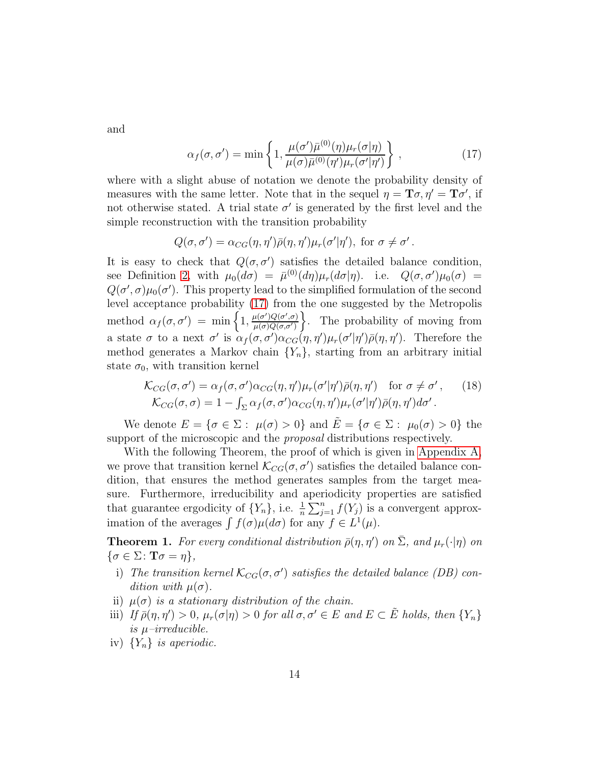and

<span id="page-13-0"></span>
$$
\alpha_f(\sigma, \sigma') = \min\left\{1, \frac{\mu(\sigma')\bar{\mu}^{(0)}(\eta)\mu_r(\sigma|\eta)}{\mu(\sigma)\bar{\mu}^{(0)}(\eta')\mu_r(\sigma'|\eta')}\right\},
$$
\n(17)

where with a slight abuse of notation we denote the probability density of measures with the same letter. Note that in the sequel  $\eta = \mathbf{T}\sigma, \eta' = \mathbf{T}\sigma'$ , if not otherwise stated. A trial state  $\sigma'$  is generated by the first level and the simple reconstruction with the transition probability

$$
Q(\sigma, \sigma') = \alpha_{CG}(\eta, \eta')\bar{\rho}(\eta, \eta')\mu_r(\sigma'|\eta'), \text{ for } \sigma \neq \sigma'.
$$

It is easy to check that  $Q(\sigma, \sigma')$  satisfies the detailed balance condition, see Definition [2,](#page-30-0) with  $\mu_0(d\sigma) = \bar{\mu}^{(0)}(d\eta)\mu_r(d\sigma|\eta)$ . i.e.  $Q(\sigma,\sigma')\mu_0(\sigma) =$  $Q(\sigma', \sigma)\mu_0(\sigma')$ . This property lead to the simplified formulation of the second level acceptance probability [\(17\)](#page-13-0) from the one suggested by the Metropolis method  $\alpha_f(\sigma, \sigma') = \min \left\{ 1, \frac{\mu(\sigma')Q(\sigma', \sigma)}{\mu(\sigma)Q(\sigma, \sigma')} \right\}$  $\frac{\mu(\sigma')Q(\sigma',\sigma')}{\mu(\sigma)Q(\sigma,\sigma')}$ . The probability of moving from a state  $\sigma$  to a next  $\sigma'$  is  $\alpha_f(\sigma, \sigma')\alpha_{CG}(\eta, \eta')\mu_r(\sigma'|\eta')\bar{\rho}(\eta, \eta')$ . Therefore the method generates a Markov chain  ${Y_n}$ , starting from an arbitrary initial state  $\sigma_0$ , with transition kernel

<span id="page-13-2"></span><span id="page-13-1"></span>
$$
\mathcal{K}_{CG}(\sigma,\sigma') = \alpha_f(\sigma,\sigma')\alpha_{CG}(\eta,\eta')\mu_r(\sigma'|\eta')\bar{\rho}(\eta,\eta') \quad \text{for } \sigma \neq \sigma', \qquad (18)
$$
  

$$
\mathcal{K}_{CG}(\sigma,\sigma) = 1 - \int_{\Sigma} \alpha_f(\sigma,\sigma')\alpha_{CG}(\eta,\eta')\mu_r(\sigma'|\eta')\bar{\rho}(\eta,\eta')d\sigma'.
$$

We denote  $E = \{ \sigma \in \Sigma : \mu(\sigma) > 0 \}$  and  $E = \{ \sigma \in \Sigma : \mu_0(\sigma) > 0 \}$  the support of the microscopic and the *proposal* distributions respectively.

With the following Theorem, the proof of which is given in [Appendix A,](#page-29-0) we prove that transition kernel  $\mathcal{K}_{CG}(\sigma, \sigma')$  satisfies the detailed balance condition, that ensures the method generates samples from the target measure. Furthermore, irreducibility and aperiodicity properties are satisfied that guarantee ergodicity of  $\{Y_n\}$ , i.e.  $\frac{1}{n}\sum_{j=1}^n f(Y_j)$  is a convergent approximation of the averages  $\int f(\sigma)\mu(d\sigma)$  for any  $f \in L^1(\mu)$ .

**Theorem 1.** For every conditional distribution  $\bar{\rho}(\eta, \eta')$  on  $\bar{\Sigma}$ , and  $\mu_r(\cdot | \eta)$  on  $\{\sigma \in \Sigma \colon \mathbf{T}\sigma = \eta\},\$ 

- i) The transition kernel  $\mathcal{K}_{CG}(\sigma, \sigma')$  satisfies the detailed balance (DB) condition with  $\mu(\sigma)$ .
- ii)  $\mu(\sigma)$  is a stationary distribution of the chain.
- iii) If  $\bar{\rho}(\eta, \eta') > 0$ ,  $\mu_r(\sigma|\eta) > 0$  for all  $\sigma, \sigma' \in E$  and  $E \subset \tilde{E}$  holds, then  $\{Y_n\}$ is  $\mu$ -irreducible.
- iv)  $\{Y_n\}$  is aperiodic.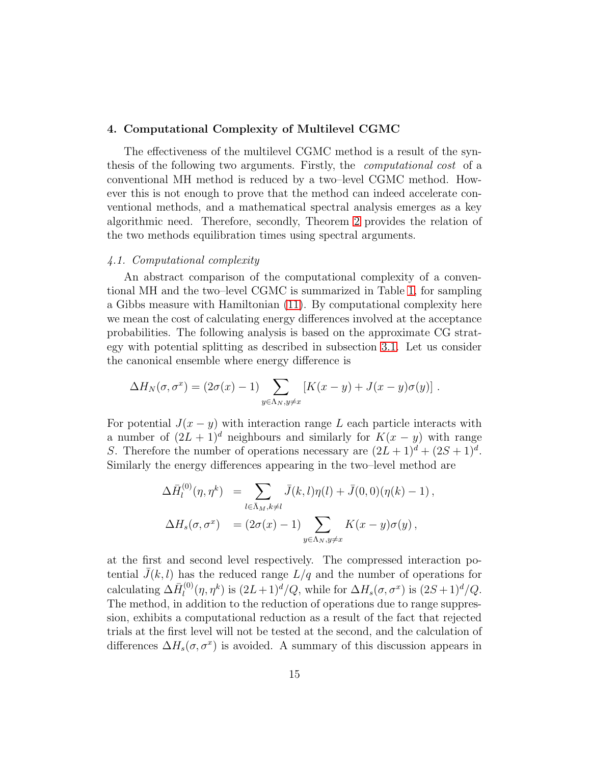#### <span id="page-14-0"></span>4. Computational Complexity of Multilevel CGMC

The effectiveness of the multilevel CGMC method is a result of the synthesis of the following two arguments. Firstly, the computational cost of a conventional MH method is reduced by a two–level CGMC method. However this is not enough to prove that the method can indeed accelerate conventional methods, and a mathematical spectral analysis emerges as a key algorithmic need. Therefore, secondly, Theorem [2](#page-16-0) provides the relation of the two methods equilibration times using spectral arguments.

#### 4.1. Computational complexity

An abstract comparison of the computational complexity of a conventional MH and the two–level CGMC is summarized in Table [1,](#page-15-0) for sampling a Gibbs measure with Hamiltonian [\(11\)](#page-6-2). By computational complexity here we mean the cost of calculating energy differences involved at the acceptance probabilities. The following analysis is based on the approximate CG strategy with potential splitting as described in subsection [3.1.](#page-11-0) Let us consider the canonical ensemble where energy difference is

$$
\Delta H_N(\sigma, \sigma^x) = (2\sigma(x) - 1) \sum_{y \in \Lambda_N, y \neq x} \left[ K(x - y) + J(x - y)\sigma(y) \right].
$$

For potential  $J(x - y)$  with interaction range L each particle interacts with a number of  $(2L + 1)^d$  neighbours and similarly for  $K(x - y)$  with range S. Therefore the number of operations necessary are  $(2L+1)^d + (2S+1)^d$ . Similarly the energy differences appearing in the two–level method are

$$
\Delta \bar{H}_l^{(0)}(\eta, \eta^k) = \sum_{l \in \bar{\Lambda}_M, k \neq l} \bar{J}(k, l) \eta(l) + \bar{J}(0, 0) (\eta(k) - 1),
$$
  

$$
\Delta H_s(\sigma, \sigma^x) = (2\sigma(x) - 1) \sum_{y \in \Lambda_N, y \neq x} K(x - y) \sigma(y),
$$

at the first and second level respectively. The compressed interaction potential  $\bar{J}(k, l)$  has the reduced range  $L/q$  and the number of operations for calculating  $\Delta \bar{H}_{l}^{(0)}$  $\int_{l}^{(0)}(\eta,\eta^k)$  is  $(2L+1)^d/Q$ , while for  $\Delta H_s(\sigma,\sigma^x)$  is  $(2S+1)^d/Q$ . The method, in addition to the reduction of operations due to range suppression, exhibits a computational reduction as a result of the fact that rejected trials at the first level will not be tested at the second, and the calculation of differences  $\Delta H_s(\sigma, \sigma^x)$  is avoided. A summary of this discussion appears in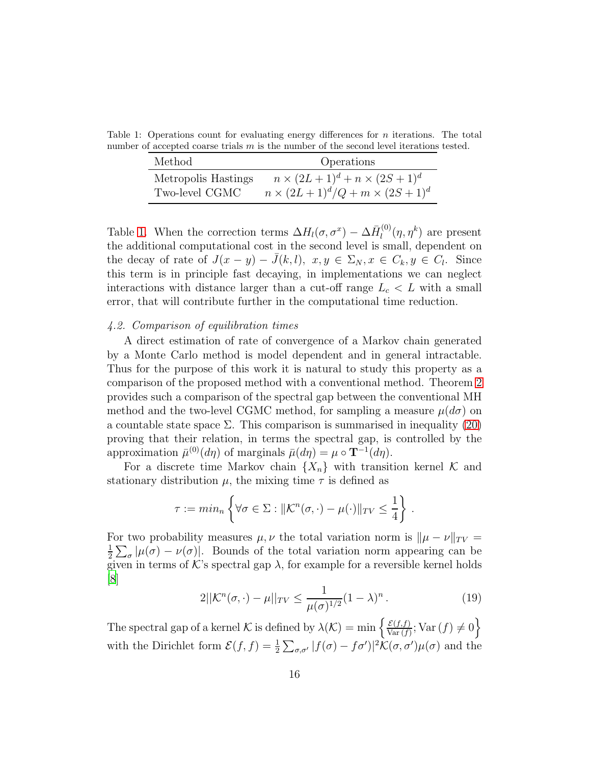Table 1: Operations count for evaluating energy differences for  $n$  iterations. The total number of accepted coarse trials  $m$  is the number of the second level iterations tested.

<span id="page-15-0"></span>

| Method              | Operations                                |
|---------------------|-------------------------------------------|
| Metropolis Hastings | $n \times (2L+1)^d + n \times (2S+1)^d$   |
| Two-level CGMC      | $n \times (2L+1)^d/Q + m \times (2S+1)^d$ |

Table [1.](#page-15-0) When the correction terms  $\Delta H_l(\sigma, \sigma^x) - \Delta \bar{H}_l^{(0)}$  $\eta_l^{(0)}(\eta, \eta^k)$  are present the additional computational cost in the second level is small, dependent on the decay of rate of  $J(x - y) - \bar{J}(k, l)$ ,  $x, y \in \Sigma_N$ ,  $x \in C_k$ ,  $y \in C_l$ . Since this term is in principle fast decaying, in implementations we can neglect interactions with distance larger than a cut-off range  $L_c < L$  with a small error, that will contribute further in the computational time reduction.

#### 4.2. Comparison of equilibration times

A direct estimation of rate of convergence of a Markov chain generated by a Monte Carlo method is model dependent and in general intractable. Thus for the purpose of this work it is natural to study this property as a comparison of the proposed method with a conventional method. Theorem [2](#page-16-0) provides such a comparison of the spectral gap between the conventional MH method and the two-level CGMC method, for sampling a measure  $\mu(d\sigma)$  on a countable state space  $\Sigma$ . This comparison is summarised in inequality [\(20\)](#page-16-1) proving that their relation, in terms the spectral gap, is controlled by the approximation  $\bar{\mu}^{(0)}(d\eta)$  of marginals  $\bar{\mu}(d\eta) = \mu \circ \mathbf{T}^{-1}(d\eta)$ .

For a discrete time Markov chain  $\{X_n\}$  with transition kernel K and stationary distribution  $\mu$ , the mixing time  $\tau$  is defined as

$$
\tau := \min_{n} \left\{ \forall \sigma \in \Sigma : ||\mathcal{K}^n(\sigma, \cdot) - \mu(\cdot)||_{TV} \leq \frac{1}{4} \right\}.
$$

For two probability measures  $\mu, \nu$  the total variation norm is  $\|\mu - \nu\|_{TV} =$ 1  $\frac{1}{2}\sum_{\sigma}|\mu(\sigma)-\nu(\sigma)|$ . Bounds of the total variation norm appearing can be given in terms of K's spectral gap  $\lambda$ , for example for a reversible kernel holds [\[8](#page-34-10)]

<span id="page-15-1"></span>
$$
2||\mathcal{K}^{n}(\sigma,\cdot) - \mu||_{TV} \le \frac{1}{\mu(\sigma)^{1/2}}(1-\lambda)^{n}.
$$
 (19)

The spectral gap of a kernel K is defined by  $\lambda(\mathcal{K}) = \min \left\{ \frac{\mathcal{E}(f, f)}{\text{Var}(f)} \right\}$  $\frac{\mathcal{E}(f,f)}{\text{Var}(f)}$ ;  $\text{Var}(f) \neq 0$ with the Dirichlet form  $\mathcal{E}(f, f) = \frac{1}{2} \sum_{\sigma, \sigma'} |f(\sigma) - f\sigma'|^2 \mathcal{K}(\sigma, \sigma') \mu(\sigma)$  and the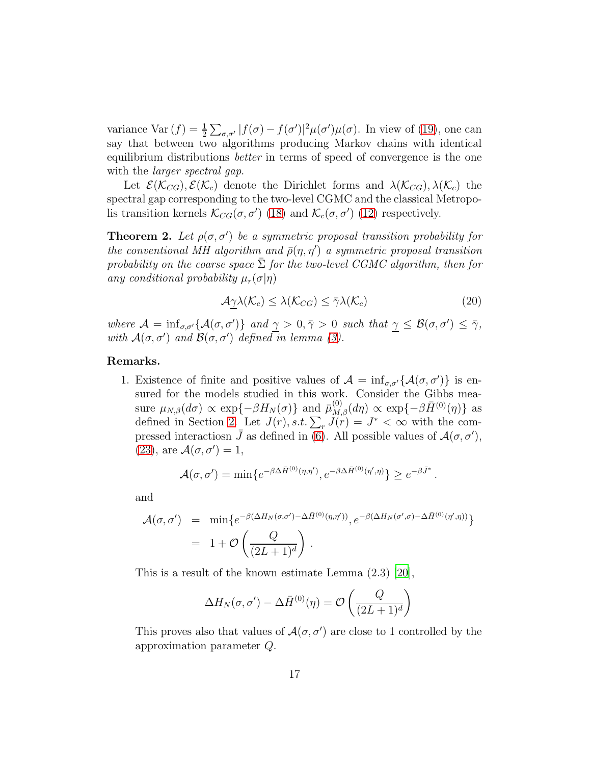variance Var  $(f) = \frac{1}{2} \sum_{\sigma,\sigma'} |f(\sigma) - f(\sigma')|^2 \mu(\sigma') \mu(\sigma)$ . In view of [\(19\)](#page-15-1), one can say that between two algorithms producing Markov chains with identical equilibrium distributions better in terms of speed of convergence is the one with the *larger spectral qap*.

Let  $\mathcal{E}(\mathcal{K}_{CG}), \mathcal{E}(\mathcal{K}_c)$  denote the Dirichlet forms and  $\lambda(\mathcal{K}_{CG}), \lambda(\mathcal{K}_c)$  the spectral gap corresponding to the two-level CGMC and the classical Metropolis transition kernels  $\mathcal{K}_{CG}(\sigma, \sigma')$  [\(18\)](#page-13-1) and  $\mathcal{K}_c(\sigma, \sigma')$  [\(12\)](#page-7-1) respectively.

<span id="page-16-0"></span>**Theorem 2.** Let  $\rho(\sigma, \sigma')$  be a symmetric proposal transition probability for the conventional MH algorithm and  $\bar{\rho}(\eta, \eta')$  a symmetric proposal transition probability on the coarse space  $\Sigma$  for the two-level CGMC algorithm, then for any conditional probability  $\mu_r(\sigma|\eta)$ 

<span id="page-16-1"></span>
$$
\mathcal{A}_{\underline{\gamma}}\lambda(\mathcal{K}_c) \leq \lambda(\mathcal{K}_{CG}) \leq \bar{\gamma}\lambda(\mathcal{K}_c) \tag{20}
$$

where  $\mathcal{A} = \inf_{\sigma,\sigma'} \{ \mathcal{A}(\sigma,\sigma') \}$  and  $\gamma > 0, \bar{\gamma} > 0$  such that  $\gamma \leq \mathcal{B}(\sigma,\sigma') \leq \bar{\gamma}$ , with  $\mathcal{A}(\sigma, \sigma')$  and  $\mathcal{B}(\sigma, \sigma')$  defined in lemma [\(3\)](#page-17-0).

#### Remarks.

1. Existence of finite and positive values of  $\mathcal{A} = \inf_{\sigma,\sigma'} \{ \mathcal{A}(\sigma,\sigma') \}$  is ensured for the models studied in this work. Consider the Gibbs measure  $\mu_{N,\beta}(d\sigma) \propto \exp\{-\beta H_N(\sigma)\}\$  and  $\bar{\mu}_{M,\beta}^{(0)}(d\eta) \propto \exp\{-\beta \bar{H}^{(0)}(\eta)\}\$  as defined in Section [2.](#page-4-0) Let  $J(r)$ , s.t.  $\sum_r J(r) = J^* < \infty$  with the compressed interactiosn  $\bar{J}$  as defined in  $\bar{6}$ . All possible values of  $\mathcal{A}(\sigma, \sigma')$ , [\(23\)](#page-17-1), are  $\mathcal{A}(\sigma, \sigma') = 1$ ,

$$
\mathcal{A}(\sigma,\sigma') = \min\{e^{-\beta \Delta \bar{H}^{(0)}(\eta,\eta')}, e^{-\beta \Delta \bar{H}^{(0)}(\eta',\eta)}\} \geq e^{-\beta \bar{J}^*}.
$$

and

$$
\mathcal{A}(\sigma,\sigma') = \min\{e^{-\beta(\Delta H_N(\sigma,\sigma')-\Delta\bar{H}^{(0)}(\eta,\eta'))},e^{-\beta(\Delta H_N(\sigma',\sigma)-\Delta\bar{H}^{(0)}(\eta',\eta))}\}
$$
  
= 1 +  $\mathcal{O}\left(\frac{Q}{(2L+1)^d}\right)$ .

This is a result of the known estimate Lemma (2.3) [\[20](#page-35-1)],

$$
\Delta H_N(\sigma,\sigma') - \Delta \bar{H}^{(0)}(\eta) = \mathcal{O}\left(\frac{Q}{(2L+1)^d}\right)
$$

This proves also that values of  $\mathcal{A}(\sigma, \sigma')$  are close to 1 controlled by the approximation parameter Q.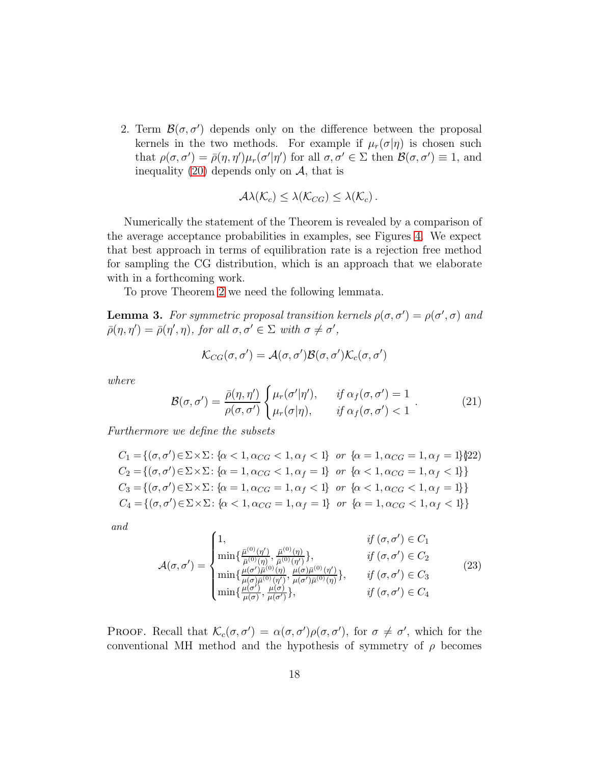2. Term  $\mathcal{B}(\sigma, \sigma')$  depends only on the difference between the proposal kernels in the two methods. For example if  $\mu_r(\sigma|\eta)$  is chosen such that  $\rho(\sigma, \sigma') = \bar{\rho}(\eta, \eta')\mu_r(\sigma'|\eta')$  for all  $\sigma, \sigma' \in \Sigma$  then  $\mathcal{B}(\sigma, \sigma') \equiv 1$ , and inequality [\(20\)](#page-16-1) depends only on  $A$ , that is

<span id="page-17-0"></span>
$$
\mathcal{A}\lambda(\mathcal{K}_c)\leq \lambda(\mathcal{K}_{CG})\leq \lambda(\mathcal{K}_c).
$$

Numerically the statement of the Theorem is revealed by a comparison of the average acceptance probabilities in examples, see Figures [4.](#page-24-2) We expect that best approach in terms of equilibration rate is a rejection free method for sampling the CG distribution, which is an approach that we elaborate with in a forthcoming work.

To prove Theorem [2](#page-16-0) we need the following lemmata.

**Lemma 3.** For symmetric proposal transition kernels  $\rho(\sigma, \sigma') = \rho(\sigma', \sigma)$  and  $\bar{\rho}(\eta, \eta') = \bar{\rho}(\eta', \eta)$ , for all  $\sigma, \sigma' \in \Sigma$  with  $\sigma \neq \sigma'$ ,

$$
\mathcal{K}_{CG}(\sigma,\sigma')=\mathcal{A}(\sigma,\sigma')\mathcal{B}(\sigma,\sigma')\mathcal{K}_c(\sigma,\sigma')
$$

where

<span id="page-17-3"></span>
$$
\mathcal{B}(\sigma,\sigma') = \frac{\bar{\rho}(\eta,\eta')}{\rho(\sigma,\sigma')} \begin{cases} \mu_r(\sigma'|\eta'), & \text{if } \alpha_f(\sigma,\sigma') = 1\\ \mu_r(\sigma|\eta), & \text{if } \alpha_f(\sigma,\sigma') < 1 \end{cases} \tag{21}
$$

Furthermore we define the subsets

<span id="page-17-2"></span>
$$
C_1 = \{ (\sigma, \sigma') \in \Sigma \times \Sigma : \{ \alpha < 1, \alpha_{CG} < 1, \alpha_f < 1 \} \text{ or } \{ \alpha = 1, \alpha_{CG} = 1, \alpha_f = 1 \} \}
$$
\n
$$
C_2 = \{ (\sigma, \sigma') \in \Sigma \times \Sigma : \{ \alpha = 1, \alpha_{CG} < 1, \alpha_f = 1 \} \text{ or } \{ \alpha < 1, \alpha_{CG} = 1, \alpha_f < 1 \} \}
$$
\n
$$
C_3 = \{ (\sigma, \sigma') \in \Sigma \times \Sigma : \{ \alpha = 1, \alpha_{CG} = 1, \alpha_f < 1 \} \text{ or } \{ \alpha < 1, \alpha_{CG} < 1, \alpha_f = 1 \} \}
$$
\n
$$
C_4 = \{ (\sigma, \sigma') \in \Sigma \times \Sigma : \{ \alpha < 1, \alpha_{CG} = 1, \alpha_f = 1 \} \text{ or } \{ \alpha = 1, \alpha_{CG} < 1, \alpha_f < 1 \} \}
$$

and

<span id="page-17-1"></span>
$$
\mathcal{A}(\sigma,\sigma') = \begin{cases}\n1, & \text{if } (\sigma,\sigma') \in C_1 \\
\min\{\frac{\bar{\mu}^{(0)}(\eta')}{\bar{\mu}^{(0)}(\eta)}, \frac{\bar{\mu}^{(0)}(\eta)}{\bar{\mu}^{(0)}(\eta')}\}, & \text{if } (\sigma,\sigma') \in C_2 \\
\min\{\frac{\mu(\sigma')\bar{\mu}^{(0)}(\eta)}{\mu(\sigma)\bar{\mu}^{(0)}(\eta')}, \frac{\mu(\sigma)\bar{\mu}^{(0)}(\eta')}{\mu(\sigma')\bar{\mu}^{(0)}(\eta)}\}, & \text{if } (\sigma,\sigma') \in C_3 \\
\min\{\frac{\mu(\sigma')}{\mu(\sigma)}, \frac{\mu(\sigma)}{\mu(\sigma')}\}, & \text{if } (\sigma,\sigma') \in C_4\n\end{cases}
$$
\n(23)

PROOF. Recall that  $\mathcal{K}_c(\sigma, \sigma') = \alpha(\sigma, \sigma')\rho(\sigma, \sigma')$ , for  $\sigma \neq \sigma'$ , which for the conventional MH method and the hypothesis of symmetry of  $\rho$  becomes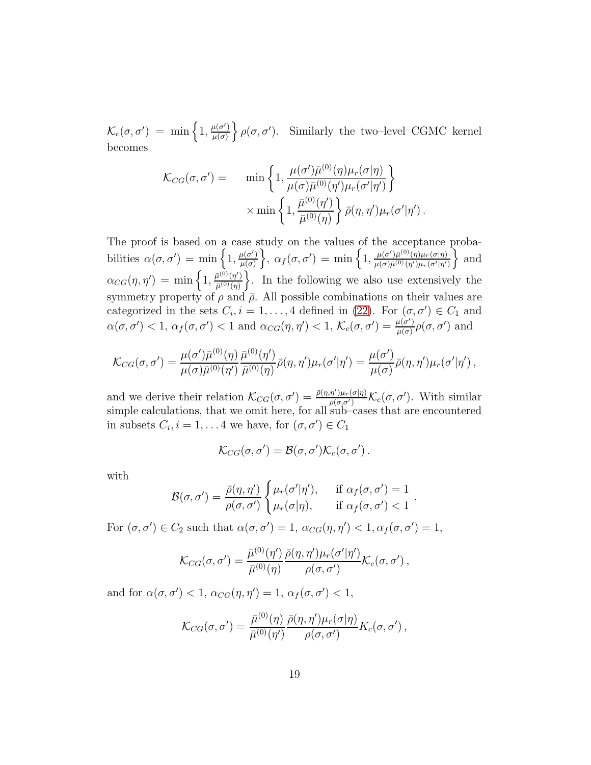$\mathcal{K}_c(\sigma, \sigma') = \min\left\{1, \frac{\mu(\sigma')}{\mu(\sigma)}\right\}$  $\left\{\frac{\mu(\sigma')}{\mu(\sigma)}\right\}$   $\rho(\sigma, \sigma')$ . Similarly the two-level CGMC kernel becomes

$$
\mathcal{K}_{CG}(\sigma, \sigma') = \min \left\{ 1, \frac{\mu(\sigma') \bar{\mu}^{(0)}(\eta) \mu_r(\sigma|\eta)}{\mu(\sigma) \bar{\mu}^{(0)}(\eta') \mu_r(\sigma'|\eta')} \right\} \times \min \left\{ 1, \frac{\bar{\mu}^{(0)}(\eta')}{\bar{\mu}^{(0)}(\eta)} \right\} \bar{\rho}(\eta, \eta') \mu_r(\sigma'|\eta').
$$

The proof is based on a case study on the values of the acceptance probabilities  $\alpha(\sigma, \sigma') = \min\left\{1, \frac{\mu(\sigma')}{\mu(\sigma)}\right\}$  $\left\{\mu(\sigma')\over\mu(\sigma)}\right\},\ \alpha_f(\sigma,\sigma')\ =\ \min\left\{1,\frac{\mu(\sigma')\bar{\mu}^{(0)}(\eta)\mu_r(\sigma|\eta)}{\mu(\sigma)\bar{\mu}^{(0)}(\eta')\mu_r(\sigma'|\eta')}\right\}$  $\mu(\sigma)\bar{\mu}^{(0)}(\eta')\mu_r(\sigma'|\eta')$ o and  $\alpha_{CG}(\eta, \eta') = \min\left\{1, \frac{\bar{\mu}^{(0)}(\eta')}{\bar{\mu}^{(0)}(\eta)}\right\}$  $\left(\frac{\bar{u}^{(0)}(\eta')}{\bar{\mu}^{(0)}(\eta)}\right)$ . In the following we also use extensively the symmetry property of  $\rho$  and  $\bar{\rho}$ . All possible combinations on their values are categorized in the sets  $C_i$ ,  $i = 1, ..., 4$  defined in [\(22\)](#page-17-2). For  $(\sigma, \sigma') \in C_1$  and  $\alpha(\sigma, \sigma') < 1, \, \alpha_f(\sigma, \sigma') < 1$  and  $\alpha_{CG}(\eta, \eta') < 1, \, \mathcal{K}_c(\sigma, \sigma') = \frac{\mu(\sigma')}{\mu(\sigma)}$  $\frac{\mu(\sigma')}{\mu(\sigma)}$ ρ(σ, σ') and

$$
\mathcal{K}_{CG}(\sigma,\sigma')=\frac{\mu(\sigma')\bar{\mu}^{(0)}(\eta)}{\mu(\sigma)\bar{\mu}^{(0)}(\eta')}\frac{\bar{\mu}^{(0)}(\eta')}{\bar{\mu}^{(0)}(\eta)}\bar{\rho}(\eta,\eta')\mu_r(\sigma'|\eta')=\frac{\mu(\sigma')}{\mu(\sigma)}\bar{\rho}(\eta,\eta')\mu_r(\sigma'|\eta'),
$$

and we derive their relation  $\mathcal{K}_{CG}(\sigma, \sigma') = \frac{\bar{\rho}(\eta, \eta')\mu_r(\sigma|\eta)}{\rho(\sigma, \sigma')} \mathcal{K}_c(\sigma, \sigma')$ . With similar simple calculations, that we omit here, for all sub–cases that are encountered in subsets  $C_i$ ,  $i = 1, \ldots 4$  we have, for  $(\sigma, \sigma') \in C_1$ 

$$
\mathcal{K}_{CG}(\sigma,\sigma')=\mathcal{B}(\sigma,\sigma')\mathcal{K}_c(\sigma,\sigma')\,.
$$

with

$$
\mathcal{B}(\sigma,\sigma') = \frac{\bar{\rho}(\eta,\eta')}{\rho(\sigma,\sigma')} \begin{cases} \mu_r(\sigma'|\eta'), & \text{if } \alpha_f(\sigma,\sigma') = 1 \\ \mu_r(\sigma|\eta), & \text{if } \alpha_f(\sigma,\sigma') < 1 \end{cases}.
$$

For  $(\sigma, \sigma') \in C_2$  such that  $\alpha(\sigma, \sigma') = 1$ ,  $\alpha_{CG}(\eta, \eta') < 1$ ,  $\alpha_f(\sigma, \sigma') = 1$ ,

$$
\mathcal{K}_{CG}(\sigma,\sigma')=\frac{\bar{\mu}^{(0)}(\eta')}{\bar{\mu}^{(0)}(\eta)}\frac{\bar{\rho}(\eta,\eta')\mu_r(\sigma'|\eta')}{\rho(\sigma,\sigma')}\mathcal{K}_c(\sigma,\sigma'),
$$

and for  $\alpha(\sigma, \sigma') < 1$ ,  $\alpha_{CG}(\eta, \eta') = 1$ ,  $\alpha_f(\sigma, \sigma') < 1$ ,

$$
\mathcal{K}_{CG}(\sigma,\sigma')=\frac{\bar{\mu}^{(0)}(\eta)}{\bar{\mu}^{(0)}(\eta')}\frac{\bar{\rho}(\eta,\eta')\mu_r(\sigma|\eta)}{\rho(\sigma,\sigma')}K_c(\sigma,\sigma'),
$$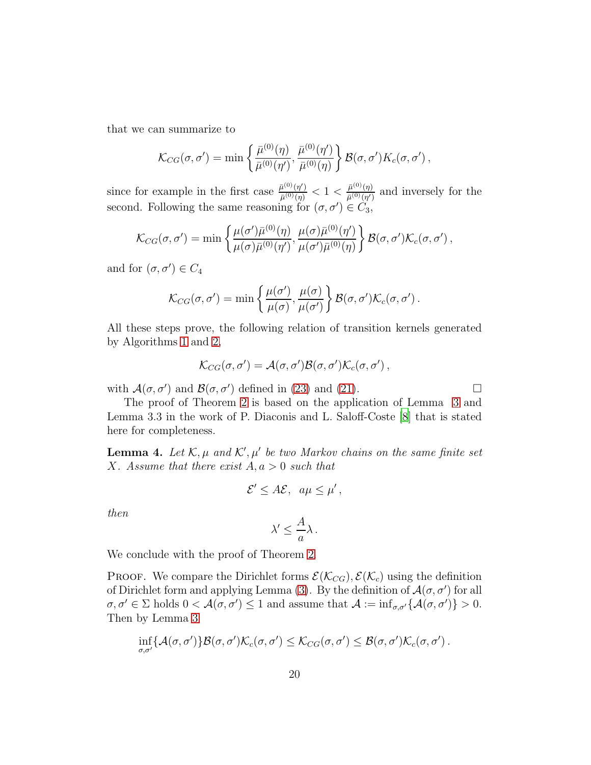that we can summarize to

$$
\mathcal{K}_{CG}(\sigma,\sigma') = \min\left\{\frac{\bar{\mu}^{(0)}(\eta)}{\bar{\mu}^{(0)}(\eta')},\frac{\bar{\mu}^{(0)}(\eta')}{\bar{\mu}^{(0)}(\eta)}\right\}\mathcal{B}(\sigma,\sigma')K_c(\sigma,\sigma'),
$$

since for example in the first case  $\frac{\bar{\mu}^{(0)}(\eta')}{\bar{\mu}^{(0)}(\eta)}$  $\frac{\bar{\mu}^{(0)}(\eta')}{\bar{\mu}^{(0)}(\eta)} < 1 < \frac{\bar{\mu}^{(0)}(\eta)}{\bar{\mu}^{(0)}(\eta')}$  $\frac{\mu^{(0)}(\eta)}{\bar{\mu}^{(0)}(\eta')}$  and inversely for the second. Following the same reasoning for  $(\sigma, \sigma') \in C_3$ ,

$$
\mathcal{K}_{CG}(\sigma,\sigma') = \min\left\{ \frac{\mu(\sigma')\bar{\mu}^{(0)}(\eta)}{\mu(\sigma)\bar{\mu}^{(0)}(\eta')}, \frac{\mu(\sigma)\bar{\mu}^{(0)}(\eta')}{\mu(\sigma')\bar{\mu}^{(0)}(\eta)} \right\} \mathcal{B}(\sigma,\sigma')\mathcal{K}_c(\sigma,\sigma'),
$$

and for  $(\sigma, \sigma') \in C_4$ 

$$
\mathcal{K}_{CG}(\sigma,\sigma') = \min\left\{\frac{\mu(\sigma')}{\mu(\sigma)},\frac{\mu(\sigma)}{\mu(\sigma')}\right\}\mathcal{B}(\sigma,\sigma')\mathcal{K}_c(\sigma,\sigma').
$$

All these steps prove, the following relation of transition kernels generated by Algorithms [1](#page-7-0) and [2,](#page-10-0)

$$
\mathcal{K}_{CG}(\sigma,\sigma')=\mathcal{A}(\sigma,\sigma')\mathcal{B}(\sigma,\sigma')\mathcal{K}_c(\sigma,\sigma')\,,
$$

with  $\mathcal{A}(\sigma, \sigma')$  and  $\mathcal{B}(\sigma, \sigma')$  defined in [\(23\)](#page-17-1) and [\(21\)](#page-17-3).

The proof of Theorem [2](#page-16-0) is based on the application of Lemma [3](#page-17-0) and Lemma 3.3 in the work of P. Diaconis and L. Saloff-Coste [\[8\]](#page-34-10) that is stated here for completeness.

**Lemma 4.** Let  $\mathcal{K}, \mu$  and  $\mathcal{K}', \mu'$  be two Markov chains on the same finite set X. Assume that there exist  $A, a > 0$  such that

<span id="page-19-0"></span>
$$
\mathcal{E}' \leq A\mathcal{E}, \ \ a\mu \leq \mu',
$$

then

$$
\lambda' \leq \frac{A}{a}\lambda.
$$

We conclude with the proof of Theorem [2.](#page-16-0)

**PROOF.** We compare the Dirichlet forms  $\mathcal{E}(\mathcal{K}_{CG}), \mathcal{E}(\mathcal{K}_c)$  using the definition of Dirichlet form and applying Lemma [\(3\)](#page-17-0). By the definition of  $\mathcal{A}(\sigma, \sigma')$  for all  $\sigma, \sigma' \in \Sigma$  holds  $0 < \mathcal{A}(\sigma, \sigma') \leq 1$  and assume that  $\mathcal{A} := \inf_{\sigma, \sigma'} \{ \mathcal{A}(\sigma, \sigma') \} > 0$ . Then by Lemma [3](#page-17-0)

$$
\inf_{\sigma,\sigma'}\{\mathcal{A}(\sigma,\sigma')\}\mathcal{B}(\sigma,\sigma')\mathcal{K}_c(\sigma,\sigma')\leq \mathcal{K}_{CG}(\sigma,\sigma')\leq \mathcal{B}(\sigma,\sigma')\mathcal{K}_c(\sigma,\sigma').
$$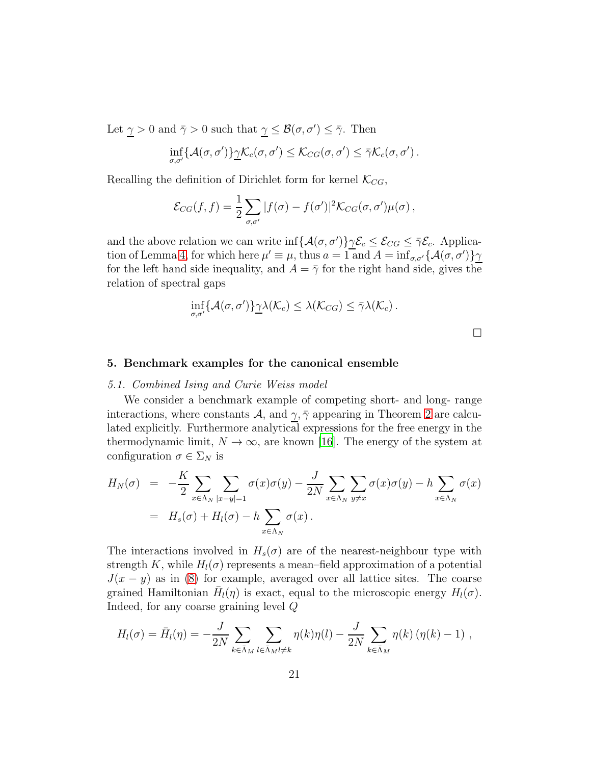Let  $\gamma > 0$  and  $\bar{\gamma} > 0$  such that  $\gamma \leq \mathcal{B}(\sigma, \sigma') \leq \bar{\gamma}$ . Then

$$
\inf_{\sigma,\sigma'} \{ \mathcal{A}(\sigma,\sigma') \} \underline{\gamma} \mathcal{K}_c(\sigma,\sigma') \leq \mathcal{K}_{CG}(\sigma,\sigma') \leq \overline{\gamma} \mathcal{K}_c(\sigma,\sigma').
$$

Recalling the definition of Dirichlet form for kernel  $\mathcal{K}_{CG}$ ,

$$
\mathcal{E}_{CG}(f,f) = \frac{1}{2} \sum_{\sigma,\sigma'} |f(\sigma) - f(\sigma')|^2 \mathcal{K}_{CG}(\sigma,\sigma') \mu(\sigma) ,
$$

and the above relation we can write  $\inf \{ \mathcal{A}(\sigma, \sigma') \} \gamma \mathcal{E}_c \leq \mathcal{E}_{CG} \leq \overline{\gamma} \mathcal{E}_c$ . Applica-tion of Lemma [4,](#page-19-0) for which here  $\mu' \equiv \mu$ , thus  $a = 1$  and  $A = \inf_{\sigma, \sigma'} \{ \mathcal{A}(\sigma, \sigma') \} \gamma$ for the left hand side inequality, and  $A = \overline{\gamma}$  for the right hand side, gives the relation of spectral gaps

$$
\inf_{\sigma,\sigma'} \{ \mathcal{A}(\sigma,\sigma') \} \underline{\gamma} \lambda(\mathcal{K}_c) \leq \lambda(\mathcal{K}_{CG}) \leq \overline{\gamma} \lambda(\mathcal{K}_c).
$$

 $\Box$ 

#### <span id="page-20-1"></span><span id="page-20-0"></span>5. Benchmark examples for the canonical ensemble

#### 5.1. Combined Ising and Curie Weiss model

We consider a benchmark example of competing short- and long- range interactions, where constants A, and  $\gamma$ ,  $\bar{\gamma}$  appearing in Theorem [2](#page-16-0) are calculated explicitly. Furthermore analytical expressions for the free energy in the thermodynamic limit,  $N \to \infty$ , are known [\[16\]](#page-34-11). The energy of the system at configuration  $\sigma \in \Sigma_N$  is

$$
H_N(\sigma) = -\frac{K}{2} \sum_{x \in \Lambda_N} \sum_{|x-y|=1} \sigma(x)\sigma(y) - \frac{J}{2N} \sum_{x \in \Lambda_N} \sum_{y \neq x} \sigma(x)\sigma(y) - h \sum_{x \in \Lambda_N} \sigma(x)
$$
  
=  $H_s(\sigma) + H_l(\sigma) - h \sum_{x \in \Lambda_N} \sigma(x)$ .

The interactions involved in  $H_s(\sigma)$  are of the nearest-neighbour type with strength K, while  $H_l(\sigma)$  represents a mean–field approximation of a potential  $J(x - y)$  as in [\(8\)](#page-6-1) for example, averaged over all lattice sites. The coarse grained Hamiltonian  $\bar{H}_l(\eta)$  is exact, equal to the microscopic energy  $H_l(\sigma)$ . Indeed, for any coarse graining level Q

$$
H_l(\sigma) = \bar{H}_l(\eta) = -\frac{J}{2N} \sum_{k \in \bar{\Lambda}_M} \sum_{l \in \bar{\Lambda}_M l \neq k} \eta(k) \eta(l) - \frac{J}{2N} \sum_{k \in \bar{\Lambda}_M} \eta(k) \left(\eta(k) - 1\right) ,
$$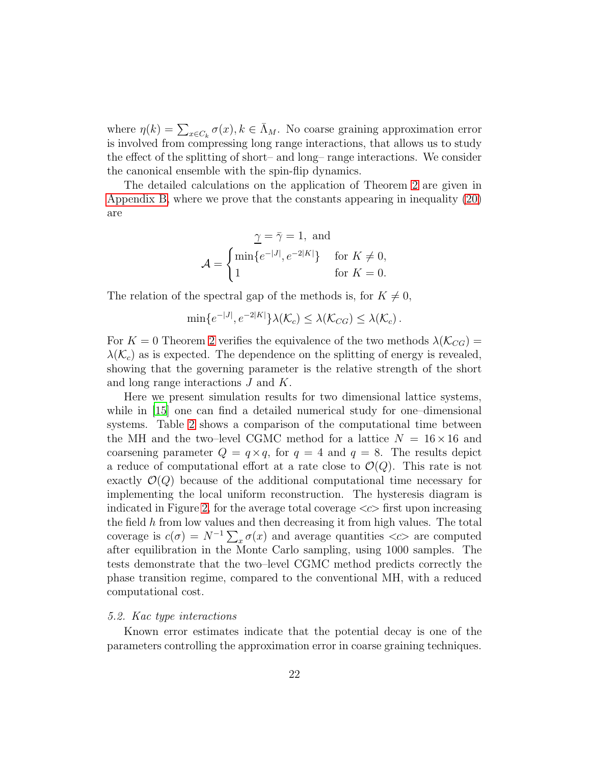where  $\eta(k) = \sum_{x \in C_k} \sigma(x)$ ,  $k \in \bar{\Lambda}_M$ . No coarse graining approximation error is involved from compressing long range interactions, that allows us to study the effect of the splitting of short– and long– range interactions. We consider the canonical ensemble with the spin-flip dynamics.

The detailed calculations on the application of Theorem [2](#page-16-0) are given in [Appendix B,](#page-31-0) where we prove that the constants appearing in inequality [\(20\)](#page-16-1) are

$$
\underline{\gamma} = \overline{\gamma} = 1, \text{ and}
$$

$$
\mathcal{A} = \begin{cases} \min \{ e^{-|J|}, e^{-2|K|} \} & \text{for } K \neq 0, \\ 1 & \text{for } K = 0. \end{cases}
$$

The relation of the spectral gap of the methods is, for  $K \neq 0$ ,

$$
\min\{e^{-|J|}, e^{-2|K|}\}\lambda(\mathcal{K}_c) \leq \lambda(\mathcal{K}_{CG}) \leq \lambda(\mathcal{K}_c).
$$

For  $K = 0$  Theorem [2](#page-16-0) verifies the equivalence of the two methods  $\lambda(\mathcal{K}_{CG}) =$  $\lambda(\mathcal{K}_c)$  as is expected. The dependence on the splitting of energy is revealed, showing that the governing parameter is the relative strength of the short and long range interactions J and K.

Here we present simulation results for two dimensional lattice systems, while in [\[15\]](#page-34-9) one can find a detailed numerical study for one-dimensional systems. Table [2](#page-22-0) shows a comparison of the computational time between the MH and the two–level CGMC method for a lattice  $N = 16 \times 16$  and coarsening parameter  $Q = q \times q$ , for  $q = 4$  and  $q = 8$ . The results depict a reduce of computational effort at a rate close to  $\mathcal{O}(Q)$ . This rate is not exactly  $\mathcal{O}(Q)$  because of the additional computational time necessary for implementing the local uniform reconstruction. The hysteresis diagram is indicated in Figure [2,](#page-22-1) for the average total coverage  $\langle \langle \rangle$  first upon increasing the field  $h$  from low values and then decreasing it from high values. The total coverage is  $c(\sigma) = N^{-1} \sum_x \sigma(x)$  and average quantities  $\langle c \rangle$  are computed after equilibration in the Monte Carlo sampling, using 1000 samples. The tests demonstrate that the two–level CGMC method predicts correctly the phase transition regime, compared to the conventional MH, with a reduced computational cost.

#### <span id="page-21-0"></span>5.2. Kac type interactions

Known error estimates indicate that the potential decay is one of the parameters controlling the approximation error in coarse graining techniques.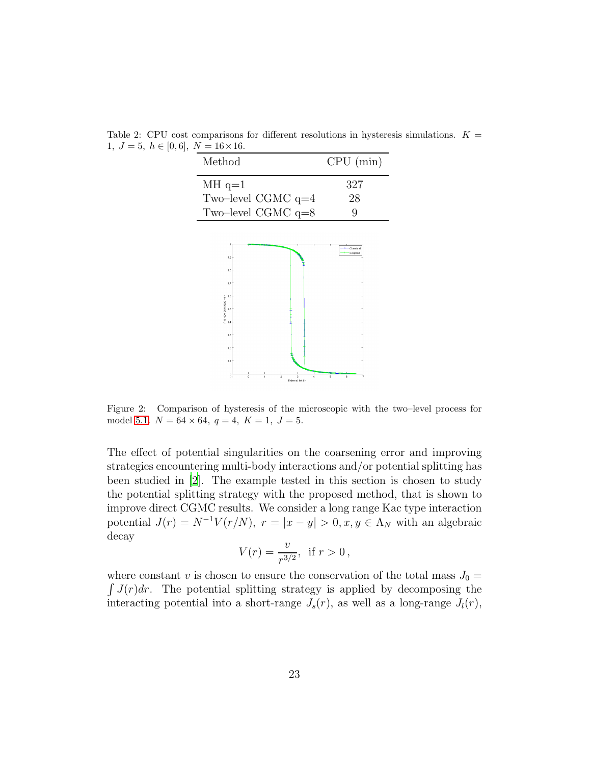| Method                                                   | CPU (min)           |
|----------------------------------------------------------|---------------------|
| $MH$ q=1<br>Two-level CGMC $q=4$<br>Two-level CGMC $q=8$ | 327<br>28           |
| 0.9 <sub>1</sub>                                         | Classica<br>Coupled |

<span id="page-22-0"></span>Table 2: CPU cost comparisons for different resolutions in hysteresis simulations.  $K =$ 1,  $J = 5, h \in [0, 6], N = 16 \times 16.$ 



<span id="page-22-1"></span>Figure 2: Comparison of hysteresis of the microscopic with the two–level process for model [5.1.](#page-20-1)  $N = 64 \times 64$ ,  $q = 4$ ,  $K = 1$ ,  $J = 5$ .

The effect of potential singularities on the coarsening error and improving strategies encountering multi-body interactions and/or potential splitting has been studied in [\[2\]](#page-33-0). The example tested in this section is chosen to study the potential splitting strategy with the proposed method, that is shown to improve direct CGMC results. We consider a long range Kac type interaction potential  $J(r) = N^{-1}V(r/N)$ ,  $r = |x - y| > 0$ ,  $x, y \in \Lambda_N$  with an algebraic decay

$$
V(r) = \frac{v}{r^{3/2}}, \text{ if } r > 0,
$$

where constant v is chosen to ensure the conservation of the total mass  $J_0 =$  $\int J(r)dr$ . The potential splitting strategy is applied by decomposing the interacting potential into a short-range  $J_s(r)$ , as well as a long-range  $J_l(r)$ ,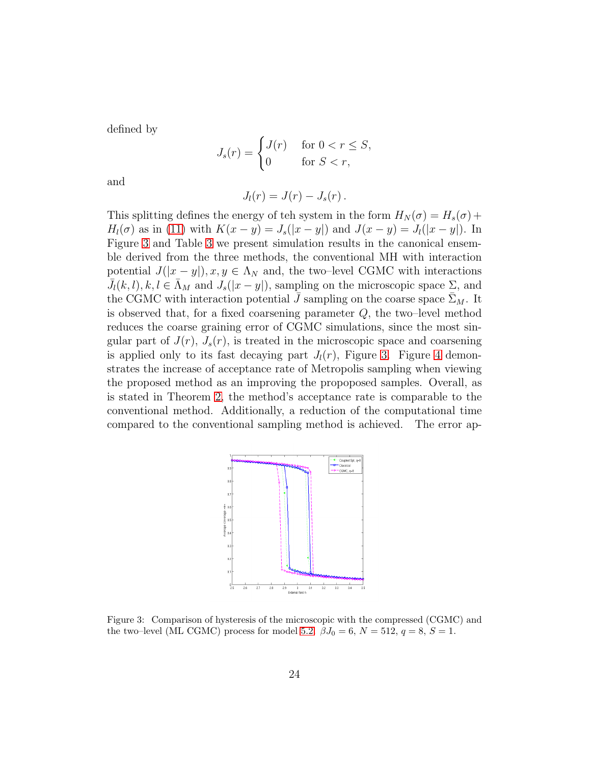defined by

$$
J_s(r) = \begin{cases} J(r) & \text{for } 0 < r \le S, \\ 0 & \text{for } S < r, \end{cases}
$$

and

$$
J_l(r) = J(r) - J_s(r).
$$

This splitting defines the energy of teh system in the form  $H_N(\sigma) = H_s(\sigma) +$  $H_l(\sigma)$  as in [\(11\)](#page-6-2) with  $K(x - y) = J_s(|x - y|)$  and  $J(x - y) = J_l(|x - y|)$ . In Figure [3](#page-23-0) and Table [3](#page-24-3) we present simulation results in the canonical ensemble derived from the three methods, the conventional MH with interaction potential  $J(|x-y|), x, y \in \Lambda_N$  and, the two–level CGMC with interactions  $\bar{J}_l(k, l), k, l \in \bar{\Lambda}_M$  and  $J_s(|x-y|)$ , sampling on the microscopic space  $\Sigma$ , and the CGMC with interaction potential  $\bar{J}$  sampling on the coarse space  $\bar{\Sigma}_M$ . It is observed that, for a fixed coarsening parameter  $Q$ , the two-level method reduces the coarse graining error of CGMC simulations, since the most singular part of  $J(r)$ ,  $J_s(r)$ , is treated in the microscopic space and coarsening is applied only to its fast decaying part  $J_l(r)$ , Figure [3.](#page-23-0) Figure [4](#page-24-2) demonstrates the increase of acceptance rate of Metropolis sampling when viewing the proposed method as an improving the propoposed samples. Overall, as is stated in Theorem [2,](#page-16-0) the method's acceptance rate is comparable to the conventional method. Additionally, a reduction of the computational time compared to the conventional sampling method is achieved. The error ap-



<span id="page-23-0"></span>Figure 3: Comparison of hysteresis of the microscopic with the compressed (CGMC) and the two–level (ML CGMC) process for model [5.2.](#page-21-0)  $\beta J_0 = 6$ ,  $N = 512$ ,  $q = 8$ ,  $S = 1$ .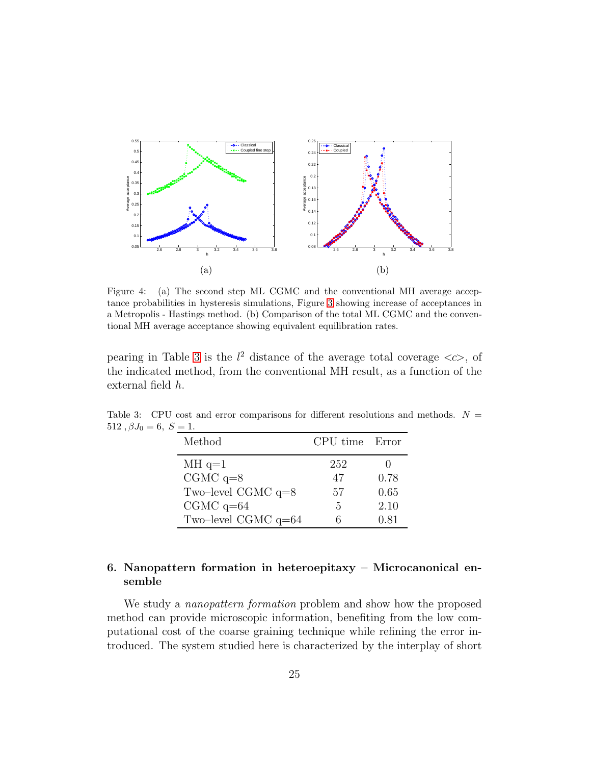<span id="page-24-1"></span>

<span id="page-24-2"></span>Figure 4: (a) The second step ML CGMC and the conventional MH average acceptance probabilities in hysteresis simulations, Figure [3](#page-23-0) showing increase of acceptances in a Metropolis - Hastings method. (b) Comparison of the total ML CGMC and the conventional MH average acceptance showing equivalent equilibration rates.

pearing in Table [3](#page-24-3) is the  $l^2$  distance of the average total coverage  $\langle c \rangle$ , of the indicated method, from the conventional MH result, as a function of the external field h.

<span id="page-24-3"></span>

| Method                | CPU time Error |      |
|-----------------------|----------------|------|
| $MH q=1$              | 252            |      |
| $CGMC$ q=8            | 47             | 0.78 |
| Two-level CGMC $q=8$  | 57             | 0.65 |
| $CGMC$ q=64           | 5              | 2.10 |
| Two-level CGMC $q=64$ |                | 0.81 |

Table 3: CPU cost and error comparisons for different resolutions and methods.  $N =$ 512,  $\beta J_0 = 6, S = 1$ .

# <span id="page-24-0"></span>6. Nanopattern formation in heteroepitaxy – Microcanonical ensemble

We study a *nanopattern formation* problem and show how the proposed method can provide microscopic information, benefiting from the low computational cost of the coarse graining technique while refining the error introduced. The system studied here is characterized by the interplay of short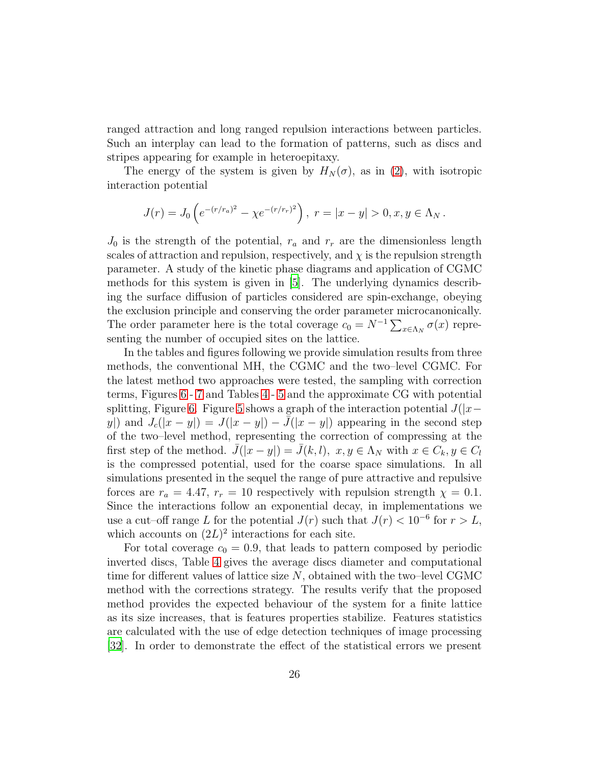ranged attraction and long ranged repulsion interactions between particles. Such an interplay can lead to the formation of patterns, such as discs and stripes appearing for example in heteroepitaxy.

The energy of the system is given by  $H_N(\sigma)$ , as in [\(2\)](#page-4-1), with isotropic interaction potential

$$
J(r) = J_0 \left( e^{-(r/r_a)^2} - \chi e^{-(r/r_r)^2} \right), \ r = |x - y| > 0, x, y \in \Lambda_N.
$$

 $J_0$  is the strength of the potential,  $r_a$  and  $r_r$  are the dimensionless length scales of attraction and repulsion, respectively, and  $\chi$  is the repulsion strength parameter. A study of the kinetic phase diagrams and application of CGMC methods for this system is given in [\[5\]](#page-33-5). The underlying dynamics describing the surface diffusion of particles considered are spin-exchange, obeying the exclusion principle and conserving the order parameter microcanonically. The order parameter here is the total coverage  $c_0 = N^{-1} \sum_{x \in \Lambda_N} \sigma(x)$  representing the number of occupied sites on the lattice.

In the tables and figures following we provide simulation results from three methods, the conventional MH, the CGMC and the two–level CGMC. For the latest method two approaches were tested, the sampling with correction terms, Figures [6](#page-27-0) - [7](#page-28-0) and Tables [4](#page-26-0)- [5](#page-28-1) and the approximate CG with potential splitting, Figure [6.](#page-27-0) Figure [5](#page-26-1) shows a graph of the interaction potential  $J(|x−$ y|) and  $J_c(|x-y|) = J(|x-y|) - \bar{J}(|x-y|)$  appearing in the second step of the two–level method, representing the correction of compressing at the first step of the method.  $J(|x - y|) = J(k, l), x, y \in \Lambda_N$  with  $x \in C_k, y \in C_l$ is the compressed potential, used for the coarse space simulations. In all simulations presented in the sequel the range of pure attractive and repulsive forces are  $r_a = 4.47$ ,  $r_r = 10$  respectively with repulsion strength  $\chi = 0.1$ . Since the interactions follow an exponential decay, in implementations we use a cut–off range L for the potential  $J(r)$  such that  $J(r) < 10^{-6}$  for  $r > L$ , which accounts on  $(2L)^2$  interactions for each site.

For total coverage  $c_0 = 0.9$ , that leads to pattern composed by periodic inverted discs, Table [4](#page-26-0) gives the average discs diameter and computational time for different values of lattice size  $N$ , obtained with the two–level CGMC method with the corrections strategy. The results verify that the proposed method provides the expected behaviour of the system for a finite lattice as its size increases, that is features properties stabilize. Features statistics are calculated with the use of edge detection techniques of image processing [\[32\]](#page-36-4). In order to demonstrate the effect of the statistical errors we present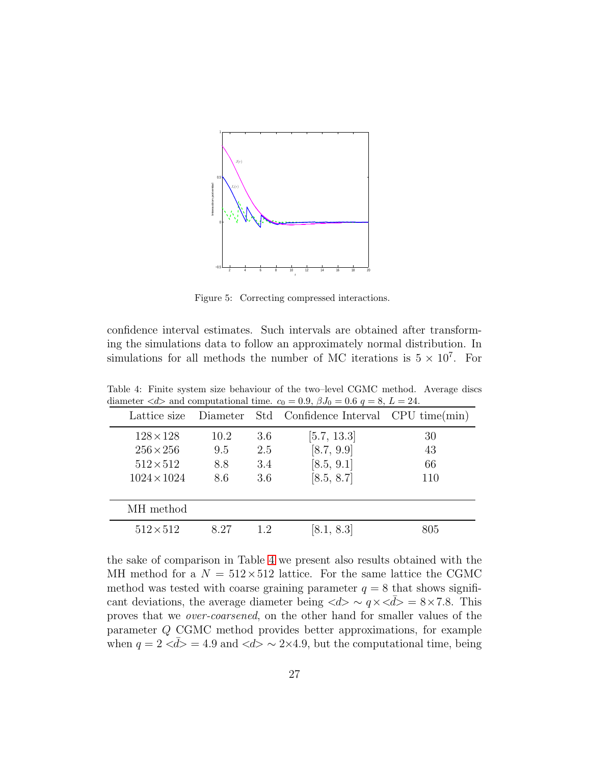

<span id="page-26-1"></span>Figure 5: Correcting compressed interactions.

confidence interval estimates. Such intervals are obtained after transforming the simulations data to follow an approximately normal distribution. In simulations for all methods the number of MC iterations is  $5 \times 10^7$ . For

<span id="page-26-0"></span>

| diameter $\langle u \rangle$ and computational time. $c_0 = 0.9, pJ_0 = 0.0 q = 8, L = 24$ . |      |     |                                                |     |  |
|----------------------------------------------------------------------------------------------|------|-----|------------------------------------------------|-----|--|
| Lattice size                                                                                 |      |     | Diameter Std Confidence Interval CPU time(min) |     |  |
| $128\times128$                                                                               | 10.2 | 3.6 | [5.7, 13.3]                                    | 30  |  |
| $256 \times 256$                                                                             | 9.5  | 2.5 | [8.7, 9.9]                                     | 43  |  |
| $512\times512$                                                                               | 8.8  | 3.4 | [8.5, 9.1]                                     | 66  |  |
| $1024 \times 1024$                                                                           | 8.6  | 3.6 | [8.5, 8.7]                                     | 110 |  |
|                                                                                              |      |     |                                                |     |  |
| MH method                                                                                    |      |     |                                                |     |  |
| $512\times512$                                                                               | 8.27 | 1.2 | [8.1, 8.3]                                     | 805 |  |

Table 4: Finite system size behaviour of the two–level CGMC method. Average discs diameter  $\langle d \rangle$  and computational time  $c_0 = 0.9$   $\beta L = 0.6$   $\alpha = 8$   $\bar{L} = 24$ demputational time.  $c_0 = 0.9, B_1 = 0.6, a = 8, I = 24$ 

the sake of comparison in Table [4](#page-26-0) we present also results obtained with the MH method for a  $N = 512 \times 512$  lattice. For the same lattice the CGMC method was tested with coarse graining parameter  $q = 8$  that shows significant deviations, the average diameter being  $\langle d \rangle \sim q \times \langle d \rangle = 8 \times 7.8$ . This proves that we over-coarsened, on the other hand for smaller values of the parameter Q CGMC method provides better approximations, for example when  $q = 2 \langle \bar{d} \rangle = 4.9$  and  $\langle d \rangle \sim 2 \times 4.9$ , but the computational time, being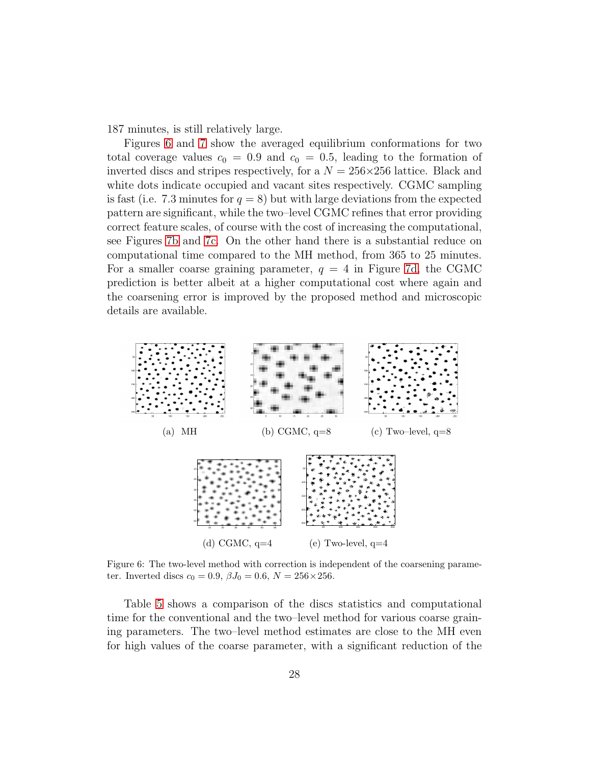187 minutes, is still relatively large.

Figures [6](#page-27-0) and [7](#page-28-0) show the averaged equilibrium conformations for two total coverage values  $c_0 = 0.9$  and  $c_0 = 0.5$ , leading to the formation of inverted discs and stripes respectively, for a  $N = 256 \times 256$  lattice. Black and white dots indicate occupied and vacant sites respectively. CGMC sampling is fast (i.e. 7.3 minutes for  $q = 8$ ) but with large deviations from the expected pattern are significant, while the two–level CGMC refines that error providing correct feature scales, of course with the cost of increasing the computational, see Figures [7b](#page-28-2) and [7c.](#page-28-3) On the other hand there is a substantial reduce on computational time compared to the MH method, from 365 to 25 minutes. For a smaller coarse graining parameter,  $q = 4$  in Figure [7d,](#page-28-4) the CGMC prediction is better albeit at a higher computational cost where again and the coarsening error is improved by the proposed method and microscopic details are available.



<span id="page-27-0"></span>Figure 6: The two-level method with correction is independent of the coarsening parameter. Inverted discs  $c_0 = 0.9$ ,  $\beta J_0 = 0.6$ ,  $N = 256 \times 256$ .

Table [5](#page-28-1) shows a comparison of the discs statistics and computational time for the conventional and the two–level method for various coarse graining parameters. The two–level method estimates are close to the MH even for high values of the coarse parameter, with a significant reduction of the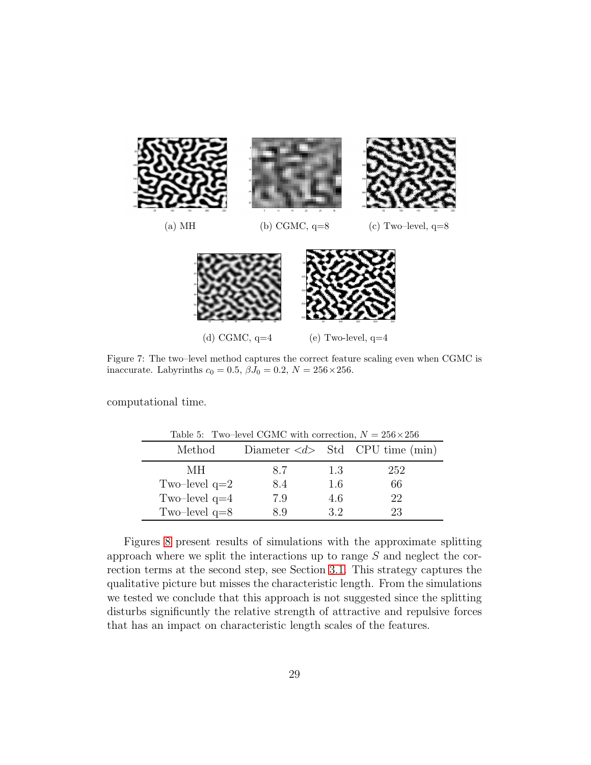<span id="page-28-4"></span><span id="page-28-3"></span><span id="page-28-2"></span>

<span id="page-28-0"></span>Figure 7: The two–level method captures the correct feature scaling even when CGMC is inaccurate. Labyrinths  $c_0 = 0.5$ ,  $\beta J_0 = 0.2$ ,  $N = 256 \times 256$ .

computational time.

<span id="page-28-1"></span>

| Table 5: Two-level CGMC with correction, $N = 256 \times 256$ |     |     |                                                 |  |  |  |
|---------------------------------------------------------------|-----|-----|-------------------------------------------------|--|--|--|
| Method                                                        |     |     | Diameter $\langle d \rangle$ Std CPU time (min) |  |  |  |
| MН                                                            | 8.7 | 1.3 | 252                                             |  |  |  |
| Two-level $q=2$                                               | 8.4 | 1.6 | 66                                              |  |  |  |
| Two-level $q=4$                                               | 7.9 | 4.6 | 22                                              |  |  |  |
| Two-level $q=8$                                               | 8 Q | 32  | 23                                              |  |  |  |

Figures [8](#page-29-1) present results of simulations with the approximate splitting approach where we split the interactions up to range S and neglect the correction terms at the second step, see Section [3.1.](#page-11-0) This strategy captures the qualitative picture but misses the characteristic length. From the simulations we tested we conclude that this approach is not suggested since the splitting disturbs significuntly the relative strength of attractive and repulsive forces that has an impact on characteristic length scales of the features.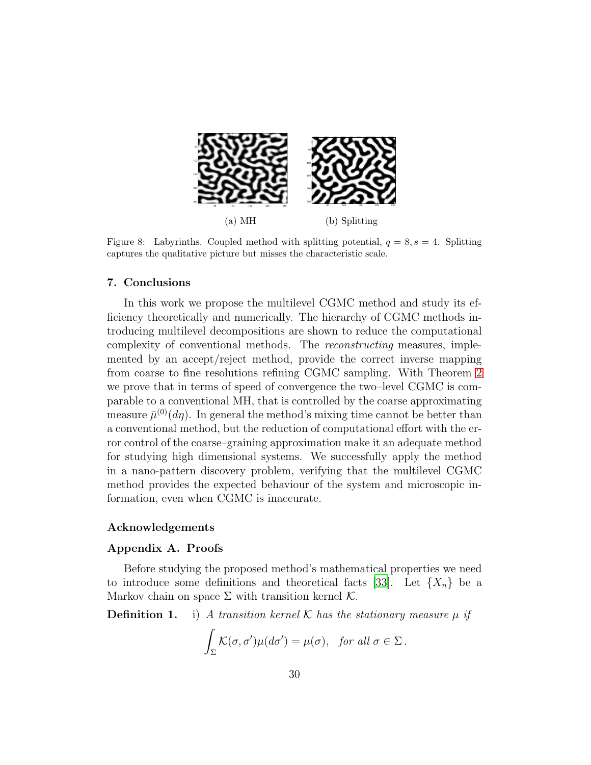

Figure 8: Labyrinths. Coupled method with splitting potential,  $q = 8$ ,  $s = 4$ . Splitting captures the qualitative picture but misses the characteristic scale.

#### <span id="page-29-1"></span>7. Conclusions

In this work we propose the multilevel CGMC method and study its efficiency theoretically and numerically. The hierarchy of CGMC methods introducing multilevel decompositions are shown to reduce the computational complexity of conventional methods. The reconstructing measures, implemented by an accept/reject method, provide the correct inverse mapping from coarse to fine resolutions refining CGMC sampling. With Theorem [2](#page-16-0) we prove that in terms of speed of convergence the two–level CGMC is comparable to a conventional MH, that is controlled by the coarse approximating measure  $\bar{\mu}^{(0)}(d\eta)$ . In general the method's mixing time cannot be better than a conventional method, but the reduction of computational effort with the error control of the coarse–graining approximation make it an adequate method for studying high dimensional systems. We successfully apply the method in a nano-pattern discovery problem, verifying that the multilevel CGMC method provides the expected behaviour of the system and microscopic information, even when CGMC is inaccurate.

#### <span id="page-29-0"></span>Acknowledgements

#### Appendix A. Proofs

Before studying the proposed method's mathematical properties we need to introduce some definitions and theoretical facts [\[33](#page-36-5)]. Let  $\{X_n\}$  be a Markov chain on space  $\Sigma$  with transition kernel  $\mathcal K$ .

**Definition 1.** i) A transition kernel K has the stationary measure  $\mu$  if

$$
\int_{\Sigma} \mathcal{K}(\sigma, \sigma') \mu(d\sigma') = \mu(\sigma), \text{ for all } \sigma \in \Sigma.
$$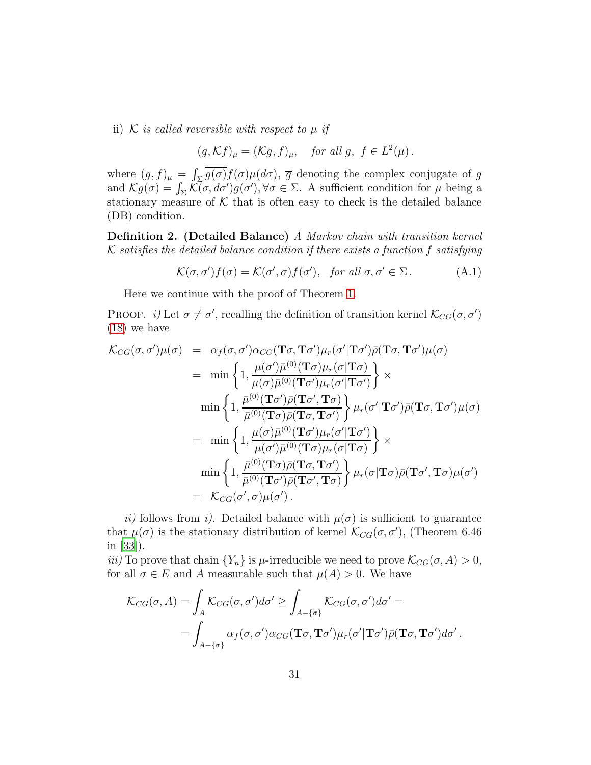ii) K is called reversible with respect to  $\mu$  if

 $(g, \mathcal{K}f)_{\mu} = (\mathcal{K}g, f)_{\mu}, \quad \text{for all } g, \ f \in L^2(\mu)$ .

where  $(g, f)_{\mu} = \int_{\Sigma} g(\sigma) f(\sigma) \mu(d\sigma)$ ,  $\overline{g}$  denoting the complex conjugate of g and  $\mathcal{K}g(\sigma) = \int_{\Sigma} \mathcal{K}(\sigma, d\sigma')g(\sigma'), \forall \sigma \in \Sigma$ . A sufficient condition for  $\mu$  being a stationary measure of  $K$  that is often easy to check is the detailed balance (DB) condition.

Definition 2. (Detailed Balance) A Markov chain with transition kernel  $K$  satisfies the detailed balance condition if there exists a function f satisfying

<span id="page-30-0"></span>
$$
\mathcal{K}(\sigma, \sigma')f(\sigma) = \mathcal{K}(\sigma', \sigma)f(\sigma'), \text{ for all } \sigma, \sigma' \in \Sigma.
$$
 (A.1)

Here we continue with the proof of Theorem [1.](#page-13-2)

PROOF. *i*) Let  $\sigma \neq \sigma'$ , recalling the definition of transition kernel  $\mathcal{K}_{CG}(\sigma, \sigma')$ [\(18\)](#page-13-1) we have

$$
\mathcal{K}_{CG}(\sigma,\sigma')\mu(\sigma) = \alpha_f(\sigma,\sigma')\alpha_{CG}(\mathbf{T}\sigma,\mathbf{T}\sigma')\mu_r(\sigma'|\mathbf{T}\sigma')\bar{\rho}(\mathbf{T}\sigma,\mathbf{T}\sigma')\mu(\sigma)
$$
\n
$$
= \min\left\{1, \frac{\mu(\sigma')\bar{\mu}^{(0)}(\mathbf{T}\sigma)\mu_r(\sigma'|\mathbf{T}\sigma)}{\mu(\sigma)\bar{\mu}^{(0)}(\mathbf{T}\sigma')\mu_r(\sigma'|\mathbf{T}\sigma')}\right\} \times
$$
\n
$$
\min\left\{1, \frac{\bar{\mu}^{(0)}(\mathbf{T}\sigma')\bar{\rho}(\mathbf{T}\sigma',\mathbf{T}\sigma)}{\bar{\mu}^{(0)}(\mathbf{T}\sigma)\bar{\rho}(\mathbf{T}\sigma,\mathbf{T}\sigma')}\right\}\mu_r(\sigma'|\mathbf{T}\sigma')\bar{\rho}(\mathbf{T}\sigma,\mathbf{T}\sigma')\mu(\sigma)
$$
\n
$$
= \min\left\{1, \frac{\mu(\sigma)\bar{\mu}^{(0)}(\mathbf{T}\sigma')\mu_r(\sigma'|\mathbf{T}\sigma')}{\mu(\sigma')\bar{\mu}^{(0)}(\mathbf{T}\sigma)\mu_r(\sigma|\mathbf{T}\sigma)}\right\} \times
$$
\n
$$
\min\left\{1, \frac{\bar{\mu}^{(0)}(\mathbf{T}\sigma)\bar{\rho}(\mathbf{T}\sigma,\mathbf{T}\sigma')}{\bar{\mu}^{(0)}(\mathbf{T}\sigma')\bar{\rho}(\mathbf{T}\sigma',\mathbf{T}\sigma)}\right\}\mu_r(\sigma|\mathbf{T}\sigma)\bar{\rho}(\mathbf{T}\sigma',\mathbf{T}\sigma)\mu(\sigma')
$$
\n
$$
= \mathcal{K}_{CG}(\sigma',\sigma)\mu(\sigma').
$$

ii) follows from i). Detailed balance with  $\mu(\sigma)$  is sufficient to guarantee that  $\mu(\sigma)$  is the stationary distribution of kernel  $\mathcal{K}_{CG}(\sigma, \sigma')$ , (Theorem 6.46) in [\[33\]](#page-36-5)).

iii) To prove that chain  $\{Y_n\}$  is  $\mu$ -irreducible we need to prove  $\mathcal{K}_{CG}(\sigma, A) > 0$ , for all  $\sigma \in E$  and A measurable such that  $\mu(A) > 0$ . We have

$$
\mathcal{K}_{CG}(\sigma, A) = \int_A \mathcal{K}_{CG}(\sigma, \sigma') d\sigma' \ge \int_{A - \{\sigma\}} \mathcal{K}_{CG}(\sigma, \sigma') d\sigma' =
$$
  
= 
$$
\int_{A - \{\sigma\}} \alpha_f(\sigma, \sigma') \alpha_{CG}(\mathbf{T}\sigma, \mathbf{T}\sigma') \mu_r(\sigma' | \mathbf{T}\sigma') \bar{\rho}(\mathbf{T}\sigma, \mathbf{T}\sigma') d\sigma'.
$$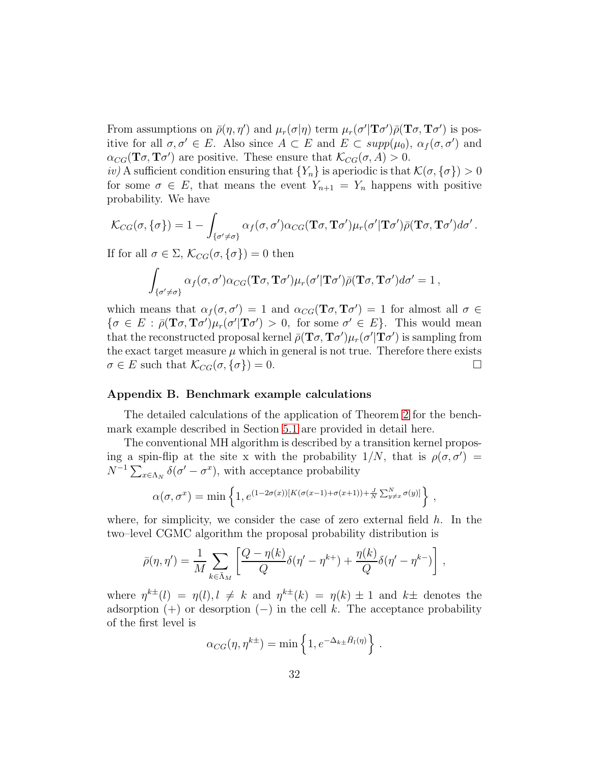From assumptions on  $\bar{\rho}(\eta, \eta')$  and  $\mu_r(\sigma|\eta)$  term  $\mu_r(\sigma'|\mathbf{T}\sigma')\bar{\rho}(\mathbf{T}\sigma, \mathbf{T}\sigma')$  is positive for all  $\sigma, \sigma' \in E$ . Also since  $A \subset E$  and  $E \subset supp(\mu_0)$ ,  $\alpha_f(\sigma, \sigma')$  and  $\alpha_{CG}(\mathbf{T}\sigma, \mathbf{T}\sigma')$  are positive. These ensure that  $\mathcal{K}_{CG}(\sigma, A) > 0$ .

iv) A sufficient condition ensuring that  ${Y_n}$  is aperiodic is that  $\mathcal{K}(\sigma, \{\sigma\}) > 0$ for some  $\sigma \in E$ , that means the event  $Y_{n+1} = Y_n$  happens with positive probability. We have

$$
\mathcal{K}_{CG}(\sigma,\{\sigma\}) = 1 - \int_{\{\sigma' \neq \sigma\}} \alpha_f(\sigma,\sigma') \alpha_{CG}(\mathbf{T}\sigma,\mathbf{T}\sigma') \mu_r(\sigma'|\mathbf{T}\sigma') \bar{\rho}(\mathbf{T}\sigma,\mathbf{T}\sigma') d\sigma'.
$$

If for all  $\sigma \in \Sigma$ ,  $\mathcal{K}_{CG}(\sigma, {\{\sigma\}}) = 0$  then

$$
\int_{\{\sigma'\neq\sigma\}} \alpha_f(\sigma,\sigma') \alpha_{CG}(\mathbf{T}\sigma,\mathbf{T}\sigma') \mu_r(\sigma'|\mathbf{T}\sigma') \bar{\rho}(\mathbf{T}\sigma,\mathbf{T}\sigma') d\sigma' = 1,
$$

which means that  $\alpha_f(\sigma, \sigma') = 1$  and  $\alpha_{CG}(\mathbf{T}\sigma, \mathbf{T}\sigma') = 1$  for almost all  $\sigma \in$  $\{\sigma \in E : \bar{\rho}(\mathbf{T}\sigma, \mathbf{T}\sigma')\mu_r(\sigma'|\mathbf{T}\sigma') > 0, \text{ for some } \sigma' \in E\}.$  This would mean that the reconstructed proposal kernel  $\bar{\rho}(\mathbf{T}\sigma, \mathbf{T}\sigma')\mu_r(\sigma'|\mathbf{T}\sigma')$  is sampling from the exact target measure  $\mu$  which in general is not true. Therefore there exists  $\sigma \in E$  such that  $\mathcal{K}_{CG}(\sigma, \{\sigma\}) = 0.$ 

#### <span id="page-31-0"></span>Appendix B. Benchmark example calculations

The detailed calculations of the application of Theorem [2](#page-16-0) for the benchmark example described in Section [5.1](#page-20-1) are provided in detail here.

The conventional MH algorithm is described by a transition kernel proposing a spin-flip at the site x with the probability  $1/N$ , that is  $\rho(\sigma, \sigma') =$  $N^{-1} \sum_{x \in \Lambda_N} \delta(\sigma' - \sigma^x)$ , with acceptance probability

$$
\alpha(\sigma,\sigma^x) = \min\left\{1, e^{(1-2\sigma(x))[K(\sigma(x-1)+\sigma(x+1))+\frac{J}{N}\sum_{y\neq x}^N \sigma(y)]}\right\},\,
$$

where, for simplicity, we consider the case of zero external field  $h$ . In the two–level CGMC algorithm the proposal probability distribution is

$$
\bar{\rho}(\eta, \eta') = \frac{1}{M} \sum_{k \in \bar{\Lambda}_M} \left[ \frac{Q - \eta(k)}{Q} \delta(\eta' - \eta^{k+}) + \frac{\eta(k)}{Q} \delta(\eta' - \eta^{k-}) \right],
$$

where  $\eta^{k\pm}(l) = \eta(l), l \neq k$  and  $\eta^{k\pm}(k) = \eta(k) \pm 1$  and  $k\pm$  denotes the adsorption  $(+)$  or desorption  $(-)$  in the cell k. The acceptance probability of the first level is

$$
\alpha_{CG}(\eta, \eta^{k\pm}) = \min\left\{1, e^{-\Delta_{k\pm} \bar{H}_l(\eta)}\right\}.
$$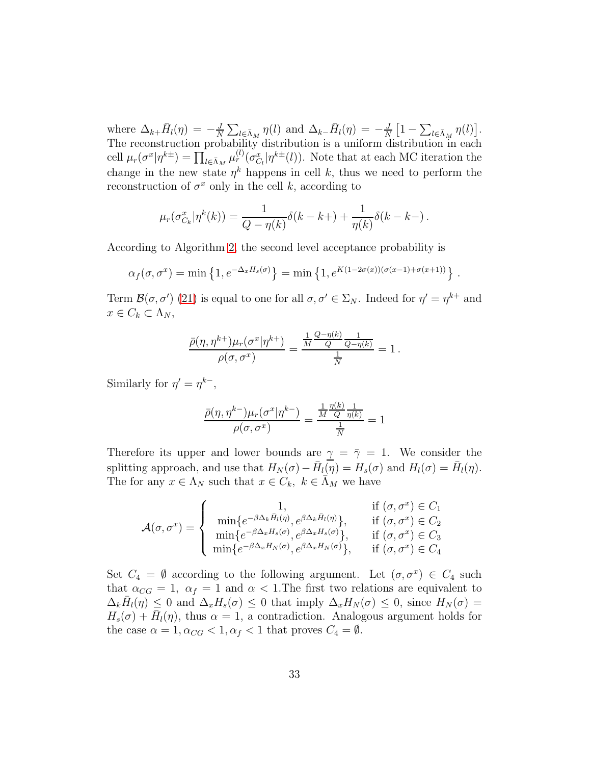where  $\Delta_{k+} \bar{H}_l(\eta) = -\frac{J}{N}$  $\frac{J}{N} \sum_{l \in \bar{\Lambda}_M} \eta(l)$  and  $\Delta_{k-1} \bar{H}_l(\eta) = -\frac{J}{N}$  $\frac{J}{N}\left[1-\sum_{l\in\bar{\Lambda}_{M}}\eta(l)\right].$ The reconstruction probability distribution is a uniform distribution in each cell  $\mu_r(\sigma^x|\eta^{k\pm}) = \prod_{l\in\bar{\Lambda}_M} \mu_r^{(l)}(\sigma_{C_l}^x|\eta^{k\pm}(l))$ . Note that at each MC iteration the change in the new state  $\eta^k$  happens in cell k, thus we need to perform the reconstruction of  $\sigma^x$  only in the cell k, according to

$$
\mu_r(\sigma_{C_k}^x | \eta^k(k)) = \frac{1}{Q - \eta(k)} \delta(k - k +) + \frac{1}{\eta(k)} \delta(k - k -).
$$

According to Algorithm [2,](#page-10-0) the second level acceptance probability is

$$
\alpha_f(\sigma, \sigma^x) = \min\left\{1, e^{-\Delta_x H_s(\sigma)}\right\} = \min\left\{1, e^{K(1-2\sigma(x))(\sigma(x-1)+\sigma(x+1))}\right\}.
$$

Term  $\mathcal{B}(\sigma, \sigma')$  [\(21\)](#page-17-3) is equal to one for all  $\sigma, \sigma' \in \Sigma_N$ . Indeed for  $\eta' = \eta^{k+}$  and  $x \in C_k \subset \Lambda_N$ ,

$$
\frac{\bar{\rho}(\eta,\eta^{k+})\mu_r(\sigma^x|\eta^{k+})}{\rho(\sigma,\sigma^x)}=\frac{\frac{1}{M}\frac{Q-\eta(k)}{Q}\frac{1}{Q-\eta(k)}}{\frac{1}{N}}=1.
$$

Similarly for  $\eta' = \eta^{k-1}$ ,

$$
\frac{\bar{\rho}(\eta, \eta^{k-})\mu_r(\sigma^x|\eta^{k-})}{\rho(\sigma, \sigma^x)} = \frac{\frac{1}{M}\frac{\eta(k)}{Q}\frac{1}{\eta(k)}}{\frac{1}{N}} = 1
$$

Therefore its upper and lower bounds are  $\gamma = \overline{\gamma} = 1$ . We consider the splitting approach, and use that  $H_N(\sigma) - \overline{H}_l(\overline{\eta}) = H_s(\sigma)$  and  $H_l(\sigma) = \overline{H}_l(\eta)$ . The for any  $x \in \Lambda_N$  such that  $x \in C_k$ ,  $k \in \overline{\Lambda}_M$  we have

$$
\mathcal{A}(\sigma,\sigma^x) = \begin{cases}\n1, & \text{if } (\sigma,\sigma^x) \in C_1 \\
\min\{e^{-\beta \Delta_k \bar{H}_l(\eta)}, e^{\beta \Delta_k \bar{H}_l(\eta)}\}, & \text{if } (\sigma,\sigma^x) \in C_2 \\
\min\{e^{-\beta \Delta_x H_s(\sigma)}, e^{\beta \Delta_x H_s(\sigma)}\}, & \text{if } (\sigma,\sigma^x) \in C_3 \\
\min\{e^{-\beta \Delta_x H_N(\sigma)}, e^{\beta \Delta_x H_N(\sigma)}\}, & \text{if } (\sigma,\sigma^x) \in C_4\n\end{cases}
$$

Set  $C_4 = \emptyset$  according to the following argument. Let  $(\sigma, \sigma^x) \in C_4$  such that  $\alpha_{CG} = 1$ ,  $\alpha_f = 1$  and  $\alpha < 1$ . The first two relations are equivalent to  $\Delta_k \bar{H}_l(\eta) \leq 0$  and  $\Delta_x H_s(\sigma) \leq 0$  that imply  $\Delta_x H_N(\sigma) \leq 0$ , since  $H_N(\sigma) =$  $H_s(\sigma) + \bar{H}_l(\eta)$ , thus  $\alpha = 1$ , a contradiction. Analogous argument holds for the case  $\alpha = 1, \alpha_{CG} < 1, \alpha_f < 1$  that proves  $C_4 = \emptyset$ .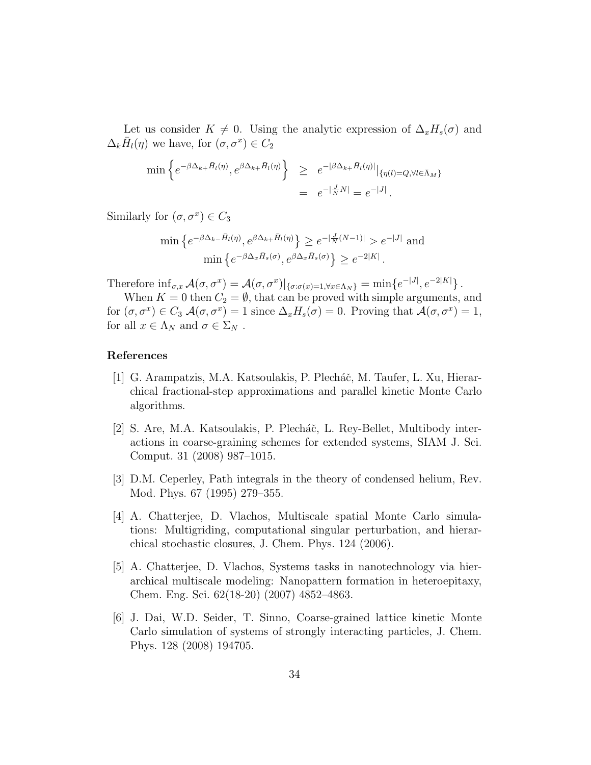Let us consider  $K \neq 0$ . Using the analytic expression of  $\Delta_x H_s(\sigma)$  and  $\Delta_k \bar{H}_l(\eta)$  we have, for  $(\sigma, \sigma^x) \in C_2$ 

$$
\min \left\{ e^{-\beta \Delta_{k+} \bar{H}_l(\eta)}, e^{\beta \Delta_{k+} \bar{H}_l(\eta)} \right\} \geq e^{-|\beta \Delta_{k+} \bar{H}_l(\eta)|} |\{\eta(l) = Q, \forall l \in \bar{\Lambda}_M\}
$$
  

$$
= e^{-|\frac{J}{N}N|} = e^{-|J|}.
$$

Similarly for  $(\sigma, \sigma^x) \in C_3$ 

$$
\min \left\{ e^{-\beta \Delta_k - \bar{H}_l(\eta)}, e^{\beta \Delta_k + \bar{H}_l(\eta)} \right\} \ge e^{-|\frac{J}{N}(N-1)|} > e^{-|J|} \text{ and }
$$

$$
\min \left\{ e^{-\beta \Delta_x \bar{H}_s(\sigma)}, e^{\beta \Delta_x \bar{H}_s(\sigma)} \right\} \ge e^{-2|K|}.
$$

Therefore  $\inf_{\sigma,x}\mathcal{A}(\sigma,\sigma^x)=\mathcal{A}(\sigma,\sigma^x)|_{\{\sigma:\sigma(x)=1,\forall x\in\Lambda_N\}}=\min\{e^{-|J|},e^{-2|K|}\}.$ 

When  $K = 0$  then  $C_2 = \emptyset$ , that can be proved with simple arguments, and for  $(\sigma, \sigma^x) \in C_3$   $\mathcal{A}(\sigma, \sigma^x) = 1$  since  $\Delta_x H_s(\sigma) = 0$ . Proving that  $\mathcal{A}(\sigma, \sigma^x) = 1$ , for all  $x \in \Lambda_N$  and  $\sigma \in \Sigma_N$ .

# References

- <span id="page-33-4"></span>[1] G. Arampatzis, M.A. Katsoulakis, P. Plecháč, M. Taufer, L. Xu, Hierarchical fractional-step approximations and parallel kinetic Monte Carlo algorithms.
- <span id="page-33-0"></span>[2] S. Are, M.A. Katsoulakis, P. Plecháč, L. Rey-Bellet, Multibody interactions in coarse-graining schemes for extended systems, SIAM J. Sci. Comput. 31 (2008) 987–1015.
- <span id="page-33-1"></span>[3] D.M. Ceperley, Path integrals in the theory of condensed helium, Rev. Mod. Phys. 67 (1995) 279–355.
- <span id="page-33-3"></span>[4] A. Chatterjee, D. Vlachos, Multiscale spatial Monte Carlo simulations: Multigriding, computational singular perturbation, and hierarchical stochastic closures, J. Chem. Phys. 124 (2006).
- <span id="page-33-5"></span>[5] A. Chatterjee, D. Vlachos, Systems tasks in nanotechnology via hierarchical multiscale modeling: Nanopattern formation in heteroepitaxy, Chem. Eng. Sci. 62(18-20) (2007) 4852–4863.
- <span id="page-33-2"></span>[6] J. Dai, W.D. Seider, T. Sinno, Coarse-grained lattice kinetic Monte Carlo simulation of systems of strongly interacting particles, J. Chem. Phys. 128 (2008) 194705.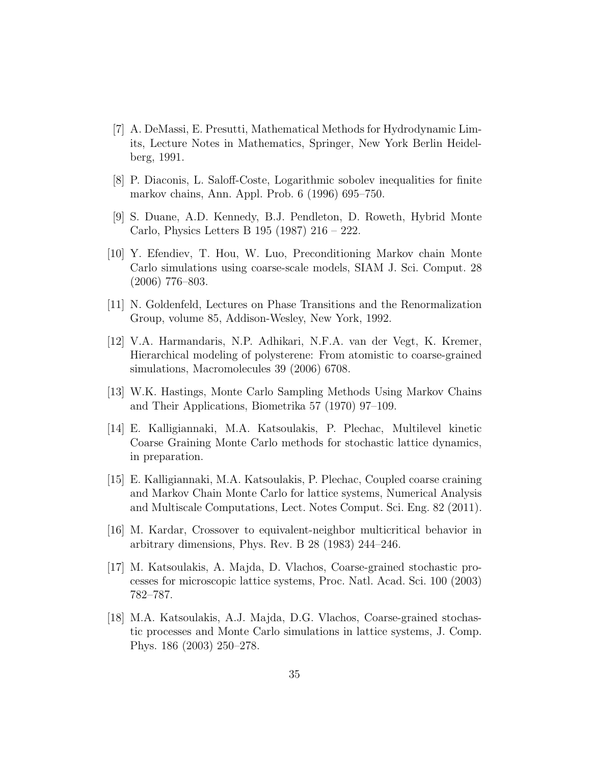- <span id="page-34-8"></span>[7] A. DeMassi, E. Presutti, Mathematical Methods for Hydrodynamic Limits, Lecture Notes in Mathematics, Springer, New York Berlin Heidelberg, 1991.
- <span id="page-34-10"></span>[8] P. Diaconis, L. Saloff-Coste, Logarithmic sobolev inequalities for finite markov chains, Ann. Appl. Prob. 6 (1996) 695–750.
- <span id="page-34-3"></span>[9] S. Duane, A.D. Kennedy, B.J. Pendleton, D. Roweth, Hybrid Monte Carlo, Physics Letters B 195 (1987) 216 – 222.
- <span id="page-34-4"></span>[10] Y. Efendiev, T. Hou, W. Luo, Preconditioning Markov chain Monte Carlo simulations using coarse-scale models, SIAM J. Sci. Comput. 28 (2006) 776–803.
- <span id="page-34-6"></span>[11] N. Goldenfeld, Lectures on Phase Transitions and the Renormalization Group, volume 85, Addison-Wesley, New York, 1992.
- <span id="page-34-2"></span>[12] V.A. Harmandaris, N.P. Adhikari, N.F.A. van der Vegt, K. Kremer, Hierarchical modeling of polysterene: From atomistic to coarse-grained simulations, Macromolecules 39 (2006) 6708.
- <span id="page-34-7"></span>[13] W.K. Hastings, Monte Carlo Sampling Methods Using Markov Chains and Their Applications, Biometrika 57 (1970) 97–109.
- <span id="page-34-5"></span>[14] E. Kalligiannaki, M.A. Katsoulakis, P. Plechac, Multilevel kinetic Coarse Graining Monte Carlo methods for stochastic lattice dynamics, in preparation.
- <span id="page-34-9"></span>[15] E. Kalligiannaki, M.A. Katsoulakis, P. Plechac, Coupled coarse craining and Markov Chain Monte Carlo for lattice systems, Numerical Analysis and Multiscale Computations, Lect. Notes Comput. Sci. Eng. 82 (2011).
- <span id="page-34-11"></span>[16] M. Kardar, Crossover to equivalent-neighbor multicritical behavior in arbitrary dimensions, Phys. Rev. B 28 (1983) 244–246.
- <span id="page-34-1"></span>[17] M. Katsoulakis, A. Majda, D. Vlachos, Coarse-grained stochastic processes for microscopic lattice systems, Proc. Natl. Acad. Sci. 100 (2003) 782–787.
- <span id="page-34-0"></span>[18] M.A. Katsoulakis, A.J. Majda, D.G. Vlachos, Coarse-grained stochastic processes and Monte Carlo simulations in lattice systems, J. Comp. Phys. 186 (2003) 250–278.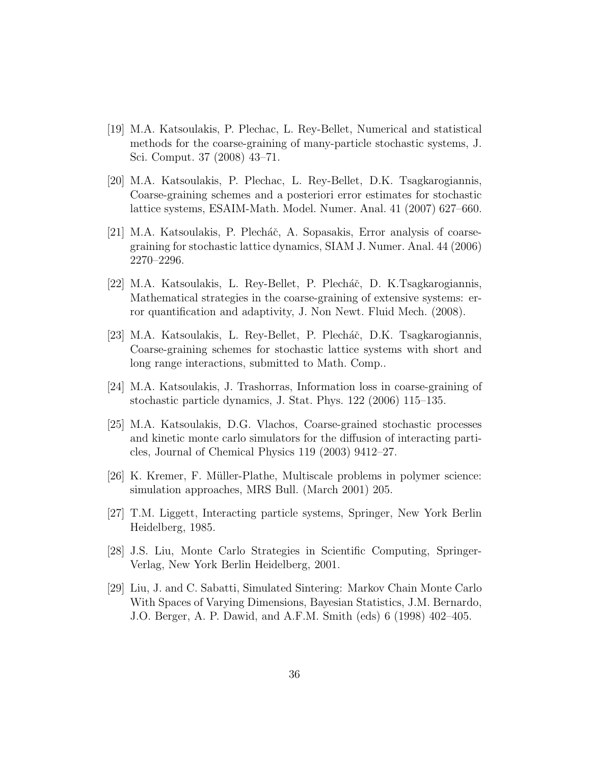- <span id="page-35-0"></span>[19] M.A. Katsoulakis, P. Plechac, L. Rey-Bellet, Numerical and statistical methods for the coarse-graining of many-particle stochastic systems, J. Sci. Comput. 37 (2008) 43–71.
- <span id="page-35-1"></span>[20] M.A. Katsoulakis, P. Plechac, L. Rey-Bellet, D.K. Tsagkarogiannis, Coarse-graining schemes and a posteriori error estimates for stochastic lattice systems, ESAIM-Math. Model. Numer. Anal. 41 (2007) 627–660.
- <span id="page-35-5"></span>[21] M.A. Katsoulakis, P. Plecháč, A. Sopasakis, Error analysis of coarsegraining for stochastic lattice dynamics, SIAM J. Numer. Anal. 44 (2006) 2270–2296.
- <span id="page-35-9"></span>[22] M.A. Katsoulakis, L. Rey-Bellet, P. Plecháč, D. K.Tsagkarogiannis, Mathematical strategies in the coarse-graining of extensive systems: error quantification and adaptivity, J. Non Newt. Fluid Mech. (2008).
- <span id="page-35-2"></span>[23] M.A. Katsoulakis, L. Rey-Bellet, P. Plecháč, D.K. Tsagkarogiannis, Coarse-graining schemes for stochastic lattice systems with short and long range interactions, submitted to Math. Comp..
- <span id="page-35-4"></span>[24] M.A. Katsoulakis, J. Trashorras, Information loss in coarse-graining of stochastic particle dynamics, J. Stat. Phys. 122 (2006) 115–135.
- <span id="page-35-8"></span>[25] M.A. Katsoulakis, D.G. Vlachos, Coarse-grained stochastic processes and kinetic monte carlo simulators for the diffusion of interacting particles, Journal of Chemical Physics 119 (2003) 9412–27.
- <span id="page-35-3"></span>[26] K. Kremer, F. M¨uller-Plathe, Multiscale problems in polymer science: simulation approaches, MRS Bull. (March 2001) 205.
- <span id="page-35-10"></span>[27] T.M. Liggett, Interacting particle systems, Springer, New York Berlin Heidelberg, 1985.
- <span id="page-35-6"></span>[28] J.S. Liu, Monte Carlo Strategies in Scientific Computing, Springer-Verlag, New York Berlin Heidelberg, 2001.
- <span id="page-35-7"></span>[29] Liu, J. and C. Sabatti, Simulated Sintering: Markov Chain Monte Carlo With Spaces of Varying Dimensions, Bayesian Statistics, J.M. Bernardo, J.O. Berger, A. P. Dawid, and A.F.M. Smith (eds) 6 (1998) 402–405.